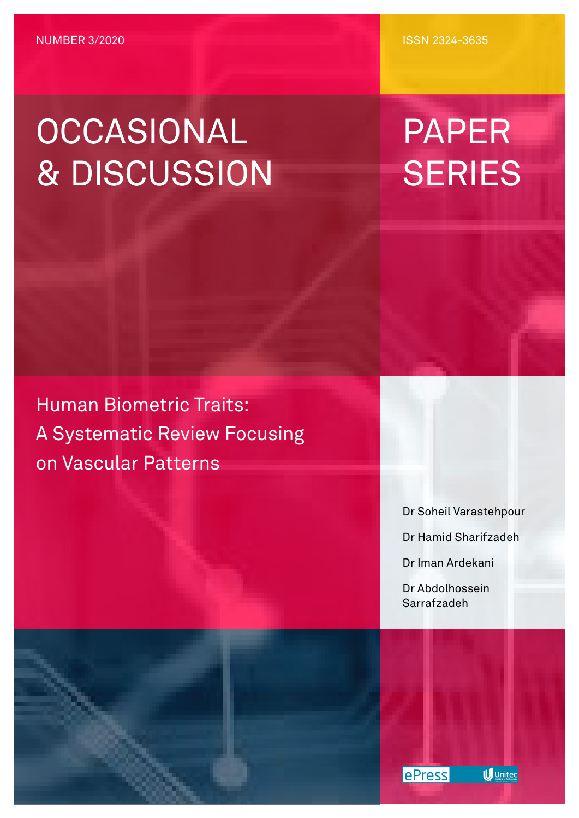# OCCASIONAL & DISCUSSION

ISSN 2324-3635

# PAPER **SERIES**

Human Biometric Traits: A Systematic Review Focusing on Vascular Patterns

Dr Soheil Varastehpour

Dr Hamid Sharifzadeh

Dr Iman Ardekani

Dr Abdolhossein Sarrafzadeh



**U** Unitec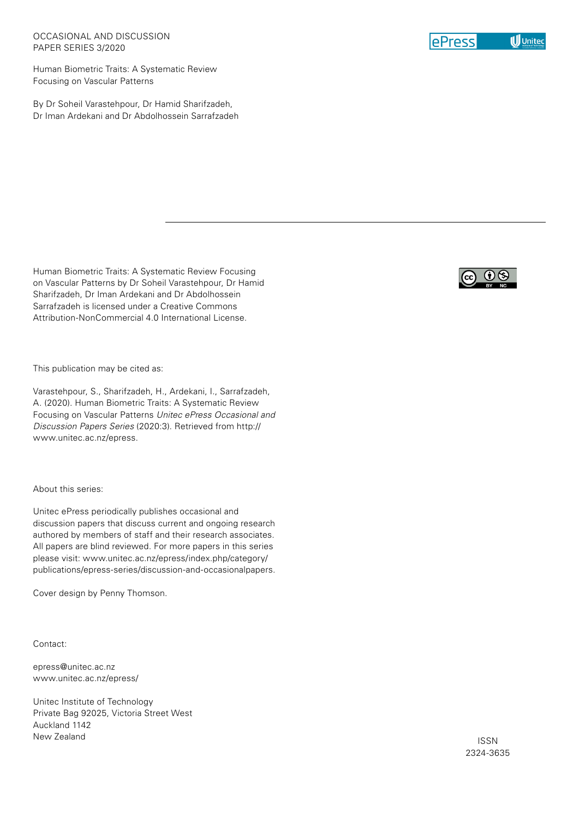#### OCCASIONAL AND DISCUSSION PAPER SERIES 3/2020

Human Biometric Traits: A Systematic Review Focusing on Vascular Patterns

By Dr Soheil Varastehpour, Dr Hamid Sharifzadeh, Dr Iman Ardekani and Dr Abdolhossein Sarrafzadeh

Human Biometric Traits: A Systematic Review Focusing on Vascular Patterns by Dr Soheil Varastehpour, Dr Hamid Sharifzadeh, Dr Iman Ardekani and Dr Abdolhossein Sarrafzadeh is licensed under a Creative Commons Attribution-NonCommercial 4.0 International License.

This publication may be cited as:

Varastehpour, S., Sharifzadeh, H., Ardekani, I., Sarrafzadeh, A. (2020). Human Biometric Traits: A Systematic Review Focusing on Vascular Patterns *Unitec ePress Occasional and Discussion Papers Series* (2020:3). Retrieved from http:// www.unitec.ac.nz/epress.

About this series:

Unitec ePress periodically publishes occasional and discussion papers that discuss current and ongoing research authored by members of staff and their research associates. All papers are blind reviewed. For more papers in this series please visit: www.unitec.ac.nz/epress/index.php/category/ publications/epress-series/discussion-and-occasionalpapers.

Cover design by Penny Thomson.

Contact:

epress@unitec.ac.nz www.unitec.ac.nz/epress/

Unitec Institute of Technology Private Bag 92025, Victoria Street West Auckland 1142 New Zealand





ISSN 2324-3635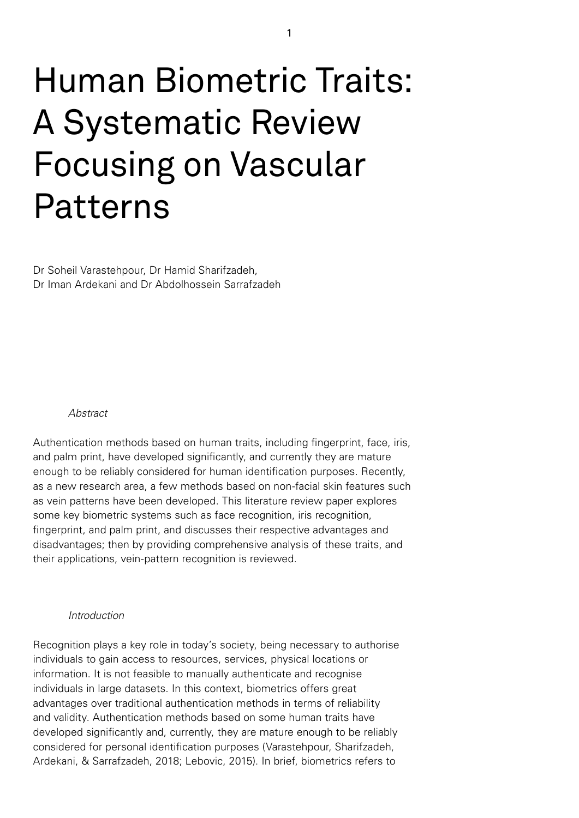# Human Biometric Traits: A Systematic Review Focusing on Vascular Patterns

Dr Soheil Varastehpour, Dr Hamid Sharifzadeh, Dr Iman Ardekani and Dr Abdolhossein Sarrafzadeh

#### *Abstract*

Authentication methods based on human traits, including fingerprint, face, iris, and palm print, have developed significantly, and currently they are mature enough to be reliably considered for human identification purposes. Recently, as a new research area, a few methods based on non-facial skin features such as vein patterns have been developed. This literature review paper explores some key biometric systems such as face recognition, iris recognition, fingerprint, and palm print, and discusses their respective advantages and disadvantages; then by providing comprehensive analysis of these traits, and their applications, vein-pattern recognition is reviewed.

#### *Introduction*

Recognition plays a key role in today's society, being necessary to authorise individuals to gain access to resources, services, physical locations or information. It is not feasible to manually authenticate and recognise individuals in large datasets. In this context, biometrics offers great advantages over traditional authentication methods in terms of reliability and validity. Authentication methods based on some human traits have developed significantly and, currently, they are mature enough to be reliably considered for personal identification purposes (Varastehpour, Sharifzadeh, Ardekani, & Sarrafzadeh, 2018; Lebovic, 2015). In brief, biometrics refers to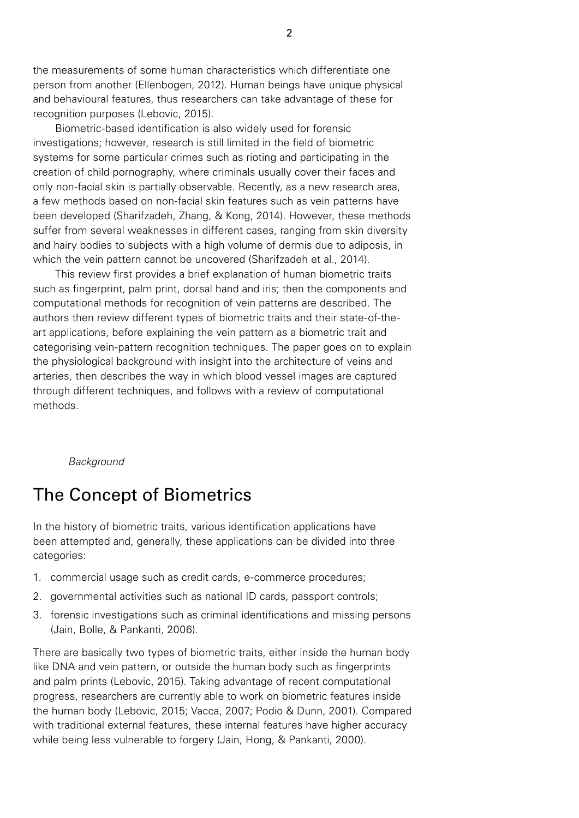the measurements of some human characteristics which differentiate one person from another (Ellenbogen, 2012). Human beings have unique physical and behavioural features, thus researchers can take advantage of these for recognition purposes (Lebovic, 2015).

Biometric-based identification is also widely used for forensic investigations; however, research is still limited in the field of biometric systems for some particular crimes such as rioting and participating in the creation of child pornography, where criminals usually cover their faces and only non-facial skin is partially observable. Recently, as a new research area, a few methods based on non-facial skin features such as vein patterns have been developed (Sharifzadeh, Zhang, & Kong, 2014). However, these methods suffer from several weaknesses in different cases, ranging from skin diversity and hairy bodies to subjects with a high volume of dermis due to adiposis, in which the vein pattern cannot be uncovered (Sharifzadeh et al., 2014).

This review first provides a brief explanation of human biometric traits such as fingerprint, palm print, dorsal hand and iris; then the components and computational methods for recognition of vein patterns are described. The authors then review different types of biometric traits and their state-of-theart applications, before explaining the vein pattern as a biometric trait and categorising vein-pattern recognition techniques. The paper goes on to explain the physiological background with insight into the architecture of veins and arteries, then describes the way in which blood vessel images are captured through different techniques, and follows with a review of computational methods.

#### *Background*

# The Concept of Biometrics

In the history of biometric traits, various identification applications have been attempted and, generally, these applications can be divided into three categories:

- 1. commercial usage such as credit cards, e-commerce procedures;
- 2. governmental activities such as national ID cards, passport controls;
- 3. forensic investigations such as criminal identifications and missing persons (Jain, Bolle, & Pankanti, 2006).

There are basically two types of biometric traits, either inside the human body like DNA and vein pattern, or outside the human body such as fingerprints and palm prints (Lebovic, 2015). Taking advantage of recent computational progress, researchers are currently able to work on biometric features inside the human body (Lebovic, 2015; Vacca, 2007; Podio & Dunn, 2001). Compared with traditional external features, these internal features have higher accuracy while being less vulnerable to forgery (Jain, Hong, & Pankanti, 2000).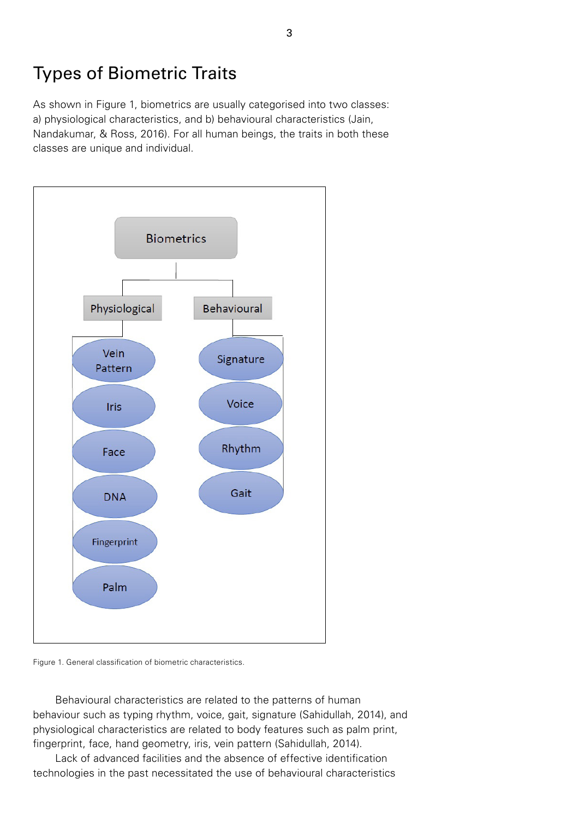# Types of Biometric Traits

As shown in Figure 1, biometrics are usually categorised into two classes: a) physiological characteristics, and b) behavioural characteristics (Jain, Nandakumar, & Ross, 2016). For all human beings, the traits in both these classes are unique and individual.



Figure 1. General classification of biometric characteristics.

Behavioural characteristics are related to the patterns of human behaviour such as typing rhythm, voice, gait, signature (Sahidullah, 2014), and physiological characteristics are related to body features such as palm print, fingerprint, face, hand geometry, iris, vein pattern (Sahidullah, 2014).

Lack of advanced facilities and the absence of effective identification technologies in the past necessitated the use of behavioural characteristics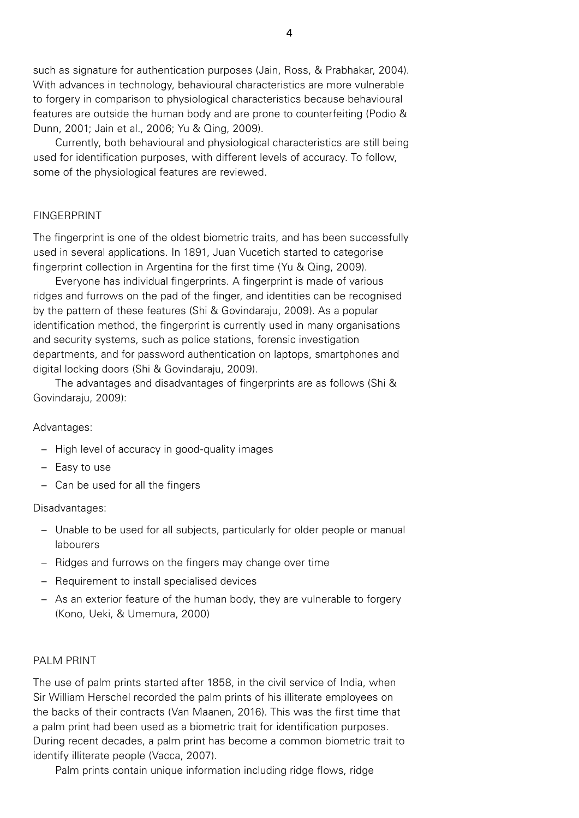such as signature for authentication purposes (Jain, Ross, & Prabhakar, 2004). With advances in technology, behavioural characteristics are more vulnerable to forgery in comparison to physiological characteristics because behavioural features are outside the human body and are prone to counterfeiting (Podio & Dunn, 2001; Jain et al., 2006; Yu & Qing, 2009).

Currently, both behavioural and physiological characteristics are still being used for identification purposes, with different levels of accuracy. To follow, some of the physiological features are reviewed.

# FINGERPRINT

The fingerprint is one of the oldest biometric traits, and has been successfully used in several applications. In 1891, Juan Vucetich started to categorise fingerprint collection in Argentina for the first time (Yu & Qing, 2009).

Everyone has individual fingerprints. A fingerprint is made of various ridges and furrows on the pad of the finger, and identities can be recognised by the pattern of these features (Shi & Govindaraju, 2009). As a popular identification method, the fingerprint is currently used in many organisations and security systems, such as police stations, forensic investigation departments, and for password authentication on laptops, smartphones and digital locking doors (Shi & Govindaraju, 2009).

The advantages and disadvantages of fingerprints are as follows (Shi & Govindaraju, 2009):

#### Advantages:

- High level of accuracy in good-quality images
- Easy to use
- Can be used for all the fingers

#### Disadvantages:

- Unable to be used for all subjects, particularly for older people or manual labourers
- Ridges and furrows on the fingers may change over time
- Requirement to install specialised devices
- As an exterior feature of the human body, they are vulnerable to forgery (Kono, Ueki, & Umemura, 2000)

#### PALM PRINT

The use of palm prints started after 1858, in the civil service of India, when Sir William Herschel recorded the palm prints of his illiterate employees on the backs of their contracts (Van Maanen, 2016). This was the first time that a palm print had been used as a biometric trait for identification purposes. During recent decades, a palm print has become a common biometric trait to identify illiterate people (Vacca, 2007).

Palm prints contain unique information including ridge flows, ridge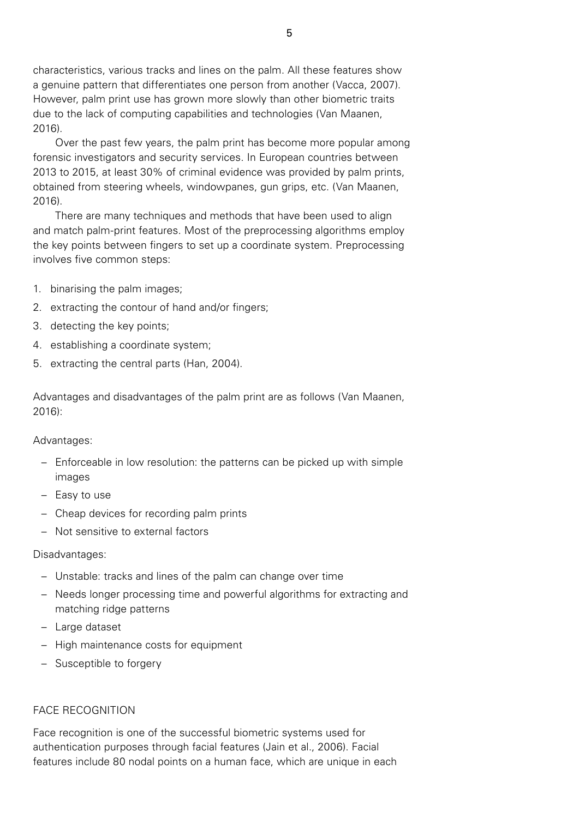characteristics, various tracks and lines on the palm. All these features show a genuine pattern that differentiates one person from another (Vacca, 2007). However, palm print use has grown more slowly than other biometric traits due to the lack of computing capabilities and technologies (Van Maanen, 2016).

Over the past few years, the palm print has become more popular among forensic investigators and security services. In European countries between 2013 to 2015, at least 30% of criminal evidence was provided by palm prints, obtained from steering wheels, windowpanes, gun grips, etc. (Van Maanen, 2016).

There are many techniques and methods that have been used to align and match palm-print features. Most of the preprocessing algorithms employ the key points between fingers to set up a coordinate system. Preprocessing involves five common steps:

- 1. binarising the palm images;
- 2. extracting the contour of hand and/or fingers;
- 3. detecting the key points;
- 4. establishing a coordinate system;
- 5. extracting the central parts (Han, 2004).

Advantages and disadvantages of the palm print are as follows (Van Maanen, 2016):

Advantages:

- Enforceable in low resolution: the patterns can be picked up with simple images
- Easy to use
- Cheap devices for recording palm prints
- Not sensitive to external factors

#### Disadvantages:

- Unstable: tracks and lines of the palm can change over time
- Needs longer processing time and powerful algorithms for extracting and matching ridge patterns
- Large dataset
- High maintenance costs for equipment
- Susceptible to forgery

# FACE RECOGNITION

Face recognition is one of the successful biometric systems used for authentication purposes through facial features (Jain et al., 2006). Facial features include 80 nodal points on a human face, which are unique in each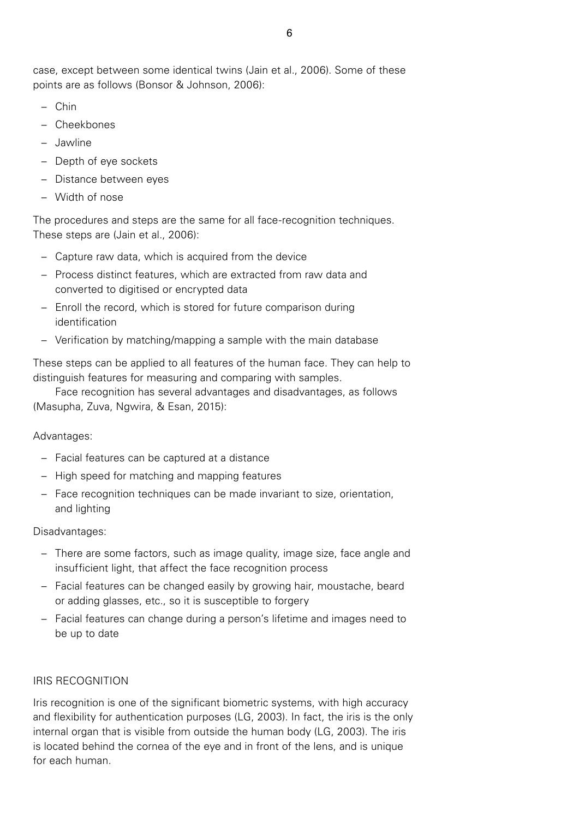case, except between some identical twins (Jain et al., 2006). Some of these points are as follows (Bonsor & Johnson, 2006):

- Chin
- Cheekbones
- Jawline
- Depth of eye sockets
- Distance between eyes
- Width of nose

The procedures and steps are the same for all face-recognition techniques. These steps are (Jain et al., 2006):

- Capture raw data, which is acquired from the device
- Process distinct features, which are extracted from raw data and converted to digitised or encrypted data
- Enroll the record, which is stored for future comparison during identification
- Verification by matching/mapping a sample with the main database

These steps can be applied to all features of the human face. They can help to distinguish features for measuring and comparing with samples.

Face recognition has several advantages and disadvantages, as follows (Masupha, Zuva, Ngwira, & Esan, 2015):

Advantages:

- Facial features can be captured at a distance
- High speed for matching and mapping features
- Face recognition techniques can be made invariant to size, orientation, and lighting

Disadvantages:

- There are some factors, such as image quality, image size, face angle and insufficient light, that affect the face recognition process
- Facial features can be changed easily by growing hair, moustache, beard or adding glasses, etc., so it is susceptible to forgery
- Facial features can change during a person's lifetime and images need to be up to date

# IRIS RECOGNITION

Iris recognition is one of the significant biometric systems, with high accuracy and flexibility for authentication purposes (LG, 2003). In fact, the iris is the only internal organ that is visible from outside the human body (LG, 2003). The iris is located behind the cornea of the eye and in front of the lens, and is unique for each human.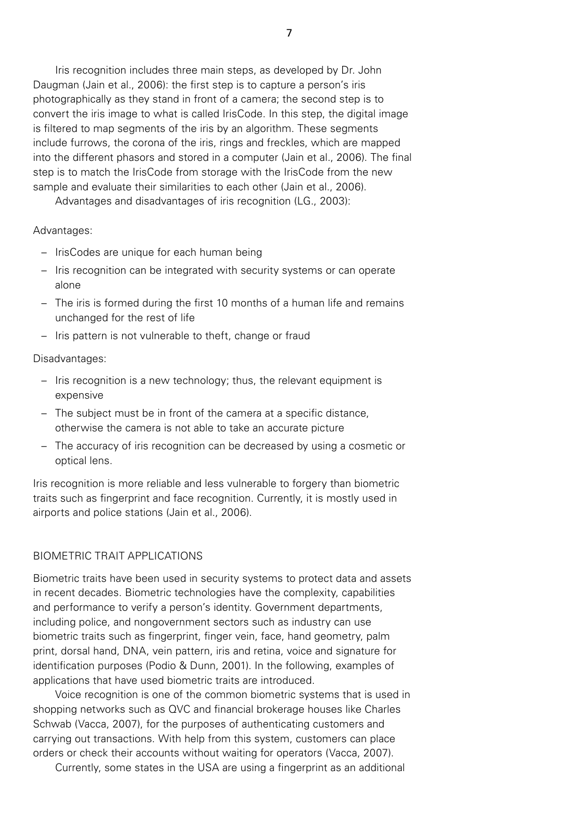Iris recognition includes three main steps, as developed by Dr. John Daugman (Jain et al., 2006): the first step is to capture a person's iris photographically as they stand in front of a camera; the second step is to convert the iris image to what is called IrisCode. In this step, the digital image is filtered to map segments of the iris by an algorithm. These segments include furrows, the corona of the iris, rings and freckles, which are mapped into the different phasors and stored in a computer (Jain et al., 2006). The final step is to match the IrisCode from storage with the IrisCode from the new sample and evaluate their similarities to each other (Jain et al., 2006).

Advantages and disadvantages of iris recognition (LG., 2003):

#### Advantages:

- IrisCodes are unique for each human being
- Iris recognition can be integrated with security systems or can operate alone
- The iris is formed during the first 10 months of a human life and remains unchanged for the rest of life
- Iris pattern is not vulnerable to theft, change or fraud

#### Disadvantages:

- Iris recognition is a new technology; thus, the relevant equipment is expensive
- The subject must be in front of the camera at a specific distance, otherwise the camera is not able to take an accurate picture
- The accuracy of iris recognition can be decreased by using a cosmetic or optical lens.

Iris recognition is more reliable and less vulnerable to forgery than biometric traits such as fingerprint and face recognition. Currently, it is mostly used in airports and police stations (Jain et al., 2006).

# BIOMETRIC TRAIT APPLICATIONS

Biometric traits have been used in security systems to protect data and assets in recent decades. Biometric technologies have the complexity, capabilities and performance to verify a person's identity. Government departments, including police, and nongovernment sectors such as industry can use biometric traits such as fingerprint, finger vein, face, hand geometry, palm print, dorsal hand, DNA, vein pattern, iris and retina, voice and signature for identification purposes (Podio & Dunn, 2001). In the following, examples of applications that have used biometric traits are introduced.

Voice recognition is one of the common biometric systems that is used in shopping networks such as QVC and financial brokerage houses like Charles Schwab (Vacca, 2007), for the purposes of authenticating customers and carrying out transactions. With help from this system, customers can place orders or check their accounts without waiting for operators (Vacca, 2007).

Currently, some states in the USA are using a fingerprint as an additional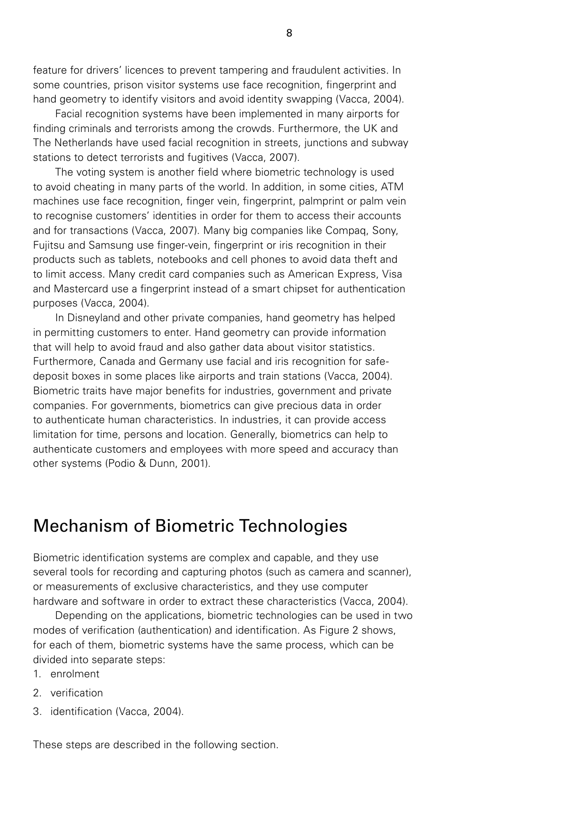feature for drivers' licences to prevent tampering and fraudulent activities. In some countries, prison visitor systems use face recognition, fingerprint and hand geometry to identify visitors and avoid identity swapping (Vacca, 2004).

Facial recognition systems have been implemented in many airports for finding criminals and terrorists among the crowds. Furthermore, the UK and The Netherlands have used facial recognition in streets, junctions and subway stations to detect terrorists and fugitives (Vacca, 2007).

The voting system is another field where biometric technology is used to avoid cheating in many parts of the world. In addition, in some cities, ATM machines use face recognition, finger vein, fingerprint, palmprint or palm vein to recognise customers' identities in order for them to access their accounts and for transactions (Vacca, 2007). Many big companies like Compaq, Sony, Fujitsu and Samsung use finger-vein, fingerprint or iris recognition in their products such as tablets, notebooks and cell phones to avoid data theft and to limit access. Many credit card companies such as American Express, Visa and Mastercard use a fingerprint instead of a smart chipset for authentication purposes (Vacca, 2004).

In Disneyland and other private companies, hand geometry has helped in permitting customers to enter. Hand geometry can provide information that will help to avoid fraud and also gather data about visitor statistics. Furthermore, Canada and Germany use facial and iris recognition for safedeposit boxes in some places like airports and train stations (Vacca, 2004). Biometric traits have major benefits for industries, government and private companies. For governments, biometrics can give precious data in order to authenticate human characteristics. In industries, it can provide access limitation for time, persons and location. Generally, biometrics can help to authenticate customers and employees with more speed and accuracy than other systems (Podio & Dunn, 2001).

# Mechanism of Biometric Technologies

Biometric identification systems are complex and capable, and they use several tools for recording and capturing photos (such as camera and scanner), or measurements of exclusive characteristics, and they use computer hardware and software in order to extract these characteristics (Vacca, 2004).

Depending on the applications, biometric technologies can be used in two modes of verification (authentication) and identification. As Figure 2 shows, for each of them, biometric systems have the same process, which can be divided into separate steps:

- 1. enrolment
- 2. verification
- 3. identification (Vacca, 2004).

These steps are described in the following section.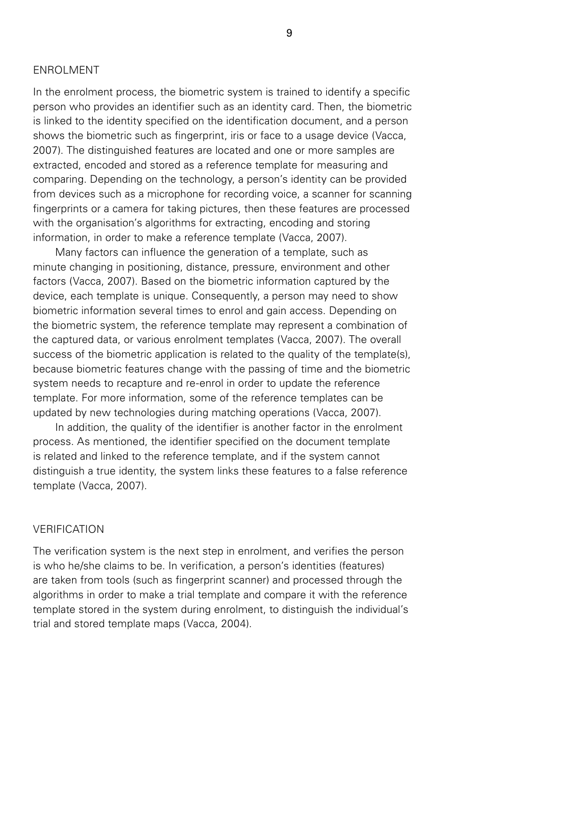# ENROLMENT

In the enrolment process, the biometric system is trained to identify a specific person who provides an identifier such as an identity card. Then, the biometric is linked to the identity specified on the identification document, and a person shows the biometric such as fingerprint, iris or face to a usage device (Vacca, 2007). The distinguished features are located and one or more samples are extracted, encoded and stored as a reference template for measuring and comparing. Depending on the technology, a person's identity can be provided from devices such as a microphone for recording voice, a scanner for scanning fingerprints or a camera for taking pictures, then these features are processed with the organisation's algorithms for extracting, encoding and storing information, in order to make a reference template (Vacca, 2007).

Many factors can influence the generation of a template, such as minute changing in positioning, distance, pressure, environment and other factors (Vacca, 2007). Based on the biometric information captured by the device, each template is unique. Consequently, a person may need to show biometric information several times to enrol and gain access. Depending on the biometric system, the reference template may represent a combination of the captured data, or various enrolment templates (Vacca, 2007). The overall success of the biometric application is related to the quality of the template(s), because biometric features change with the passing of time and the biometric system needs to recapture and re-enrol in order to update the reference template. For more information, some of the reference templates can be updated by new technologies during matching operations (Vacca, 2007).

In addition, the quality of the identifier is another factor in the enrolment process. As mentioned, the identifier specified on the document template is related and linked to the reference template, and if the system cannot distinguish a true identity, the system links these features to a false reference template (Vacca, 2007).

### VERIFICATION

The verification system is the next step in enrolment, and verifies the person is who he/she claims to be. In verification, a person's identities (features) are taken from tools (such as fingerprint scanner) and processed through the algorithms in order to make a trial template and compare it with the reference template stored in the system during enrolment, to distinguish the individual's trial and stored template maps (Vacca, 2004).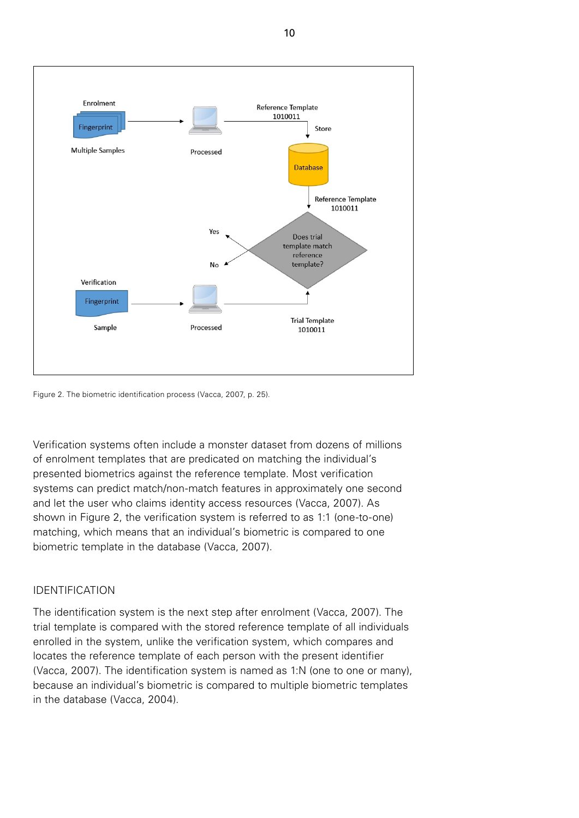

Figure 2. The biometric identification process (Vacca, 2007, p. 25).

Verification systems often include a monster dataset from dozens of millions of enrolment templates that are predicated on matching the individual's presented biometrics against the reference template. Most verification systems can predict match/non-match features in approximately one second and let the user who claims identity access resources (Vacca, 2007). As shown in Figure 2, the verification system is referred to as 1:1 (one-to-one) matching, which means that an individual's biometric is compared to one biometric template in the database (Vacca, 2007).

# IDENTIFICATION

The identification system is the next step after enrolment (Vacca, 2007). The trial template is compared with the stored reference template of all individuals enrolled in the system, unlike the verification system, which compares and locates the reference template of each person with the present identifier (Vacca, 2007). The identification system is named as 1:N (one to one or many), because an individual's biometric is compared to multiple biometric templates in the database (Vacca, 2004).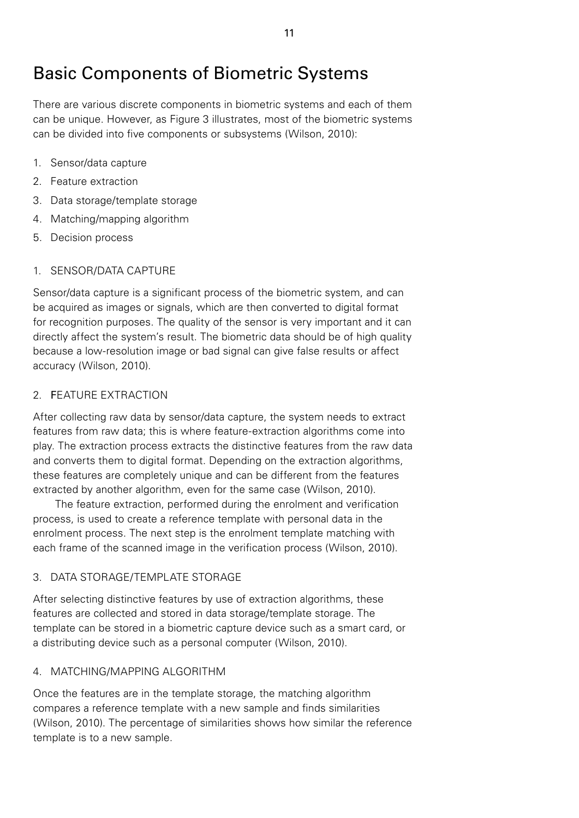# Basic Components of Biometric Systems

There are various discrete components in biometric systems and each of them can be unique. However, as Figure 3 illustrates, most of the biometric systems can be divided into five components or subsystems (Wilson, 2010):

- 1. Sensor/data capture
- 2. Feature extraction
- 3. Data storage/template storage
- 4. Matching/mapping algorithm
- 5. Decision process

# 1. SENSOR/DATA CAPTURE

Sensor/data capture is a significant process of the biometric system, and can be acquired as images or signals, which are then converted to digital format for recognition purposes. The quality of the sensor is very important and it can directly affect the system's result. The biometric data should be of high quality because a low-resolution image or bad signal can give false results or affect accuracy (Wilson, 2010).

# 2. FEATURE EXTRACTION

After collecting raw data by sensor/data capture, the system needs to extract features from raw data; this is where feature-extraction algorithms come into play. The extraction process extracts the distinctive features from the raw data and converts them to digital format. Depending on the extraction algorithms, these features are completely unique and can be different from the features extracted by another algorithm, even for the same case (Wilson, 2010).

The feature extraction, performed during the enrolment and verification process, is used to create a reference template with personal data in the enrolment process. The next step is the enrolment template matching with each frame of the scanned image in the verification process (Wilson, 2010).

# 3. DATA STORAGE/TEMPLATE STORAGE

After selecting distinctive features by use of extraction algorithms, these features are collected and stored in data storage/template storage. The template can be stored in a biometric capture device such as a smart card, or a distributing device such as a personal computer (Wilson, 2010).

# 4. MATCHING/MAPPING ALGORITHM

Once the features are in the template storage, the matching algorithm compares a reference template with a new sample and finds similarities (Wilson, 2010). The percentage of similarities shows how similar the reference template is to a new sample.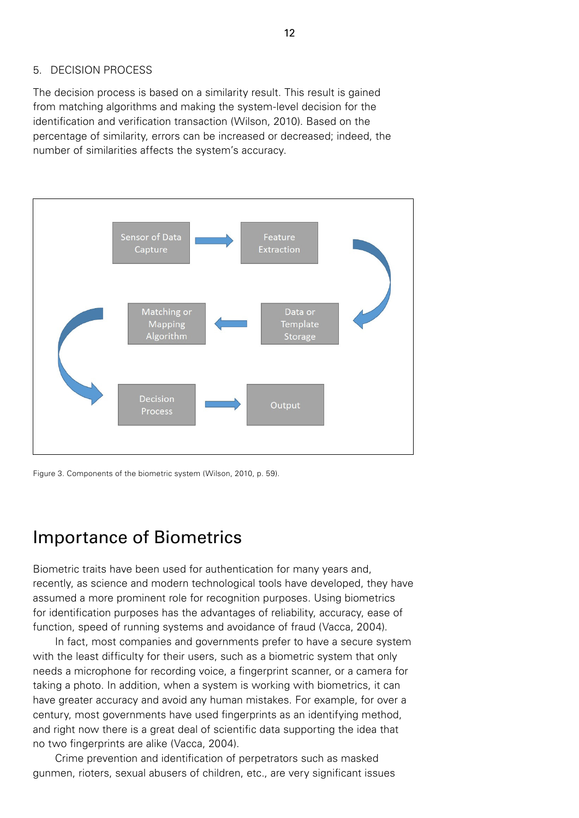# 5. DECISION PROCESS

The decision process is based on a similarity result. This result is gained from matching algorithms and making the system-level decision for the identification and verification transaction (Wilson, 2010). Based on the percentage of similarity, errors can be increased or decreased; indeed, the number of similarities affects the system's accuracy.



Figure 3. Components of the biometric system (Wilson, 2010, p. 59).

# Importance of Biometrics

Biometric traits have been used for authentication for many years and, recently, as science and modern technological tools have developed, they have assumed a more prominent role for recognition purposes. Using biometrics for identification purposes has the advantages of reliability, accuracy, ease of function, speed of running systems and avoidance of fraud (Vacca, 2004).

In fact, most companies and governments prefer to have a secure system with the least difficulty for their users, such as a biometric system that only needs a microphone for recording voice, a fingerprint scanner, or a camera for taking a photo. In addition, when a system is working with biometrics, it can have greater accuracy and avoid any human mistakes. For example, for over a century, most governments have used fingerprints as an identifying method, and right now there is a great deal of scientific data supporting the idea that no two fingerprints are alike (Vacca, 2004).

Crime prevention and identification of perpetrators such as masked gunmen, rioters, sexual abusers of children, etc., are very significant issues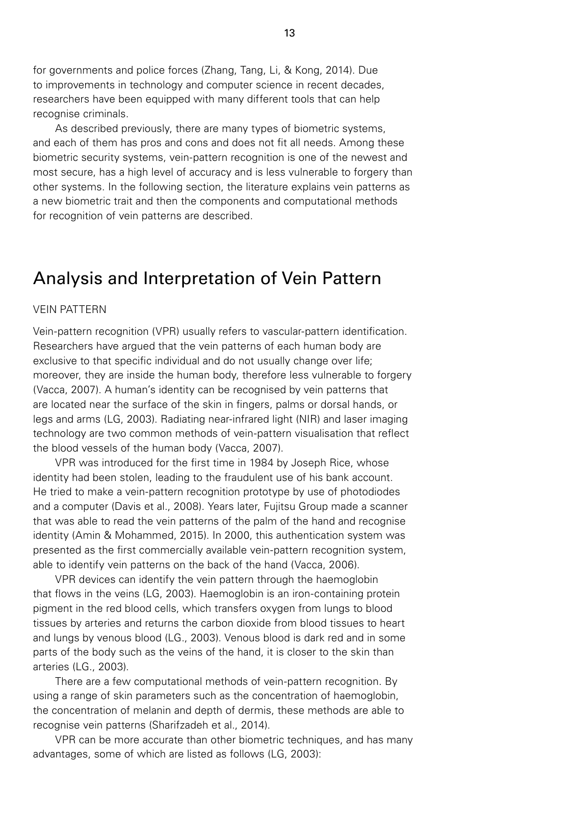for governments and police forces (Zhang, Tang, Li, & Kong, 2014). Due to improvements in technology and computer science in recent decades, researchers have been equipped with many different tools that can help recognise criminals.

As described previously, there are many types of biometric systems, and each of them has pros and cons and does not fit all needs. Among these biometric security systems, vein-pattern recognition is one of the newest and most secure, has a high level of accuracy and is less vulnerable to forgery than other systems. In the following section, the literature explains vein patterns as a new biometric trait and then the components and computational methods for recognition of vein patterns are described.

# Analysis and Interpretation of Vein Pattern

#### VEIN PATTERN

Vein-pattern recognition (VPR) usually refers to vascular-pattern identification. Researchers have argued that the vein patterns of each human body are exclusive to that specific individual and do not usually change over life; moreover, they are inside the human body, therefore less vulnerable to forgery (Vacca, 2007). A human's identity can be recognised by vein patterns that are located near the surface of the skin in fingers, palms or dorsal hands, or legs and arms (LG, 2003). Radiating near-infrared light (NIR) and laser imaging technology are two common methods of vein-pattern visualisation that reflect the blood vessels of the human body (Vacca, 2007).

VPR was introduced for the first time in 1984 by Joseph Rice, whose identity had been stolen, leading to the fraudulent use of his bank account. He tried to make a vein-pattern recognition prototype by use of photodiodes and a computer (Davis et al., 2008). Years later, Fujitsu Group made a scanner that was able to read the vein patterns of the palm of the hand and recognise identity (Amin & Mohammed, 2015). In 2000, this authentication system was presented as the first commercially available vein-pattern recognition system, able to identify vein patterns on the back of the hand (Vacca, 2006).

VPR devices can identify the vein pattern through the haemoglobin that flows in the veins (LG, 2003). Haemoglobin is an iron-containing protein pigment in the red blood cells, which transfers oxygen from lungs to blood tissues by arteries and returns the carbon dioxide from blood tissues to heart and lungs by venous blood (LG., 2003). Venous blood is dark red and in some parts of the body such as the veins of the hand, it is closer to the skin than arteries (LG., 2003).

There are a few computational methods of vein-pattern recognition. By using a range of skin parameters such as the concentration of haemoglobin, the concentration of melanin and depth of dermis, these methods are able to recognise vein patterns (Sharifzadeh et al., 2014).

VPR can be more accurate than other biometric techniques, and has many advantages, some of which are listed as follows (LG, 2003):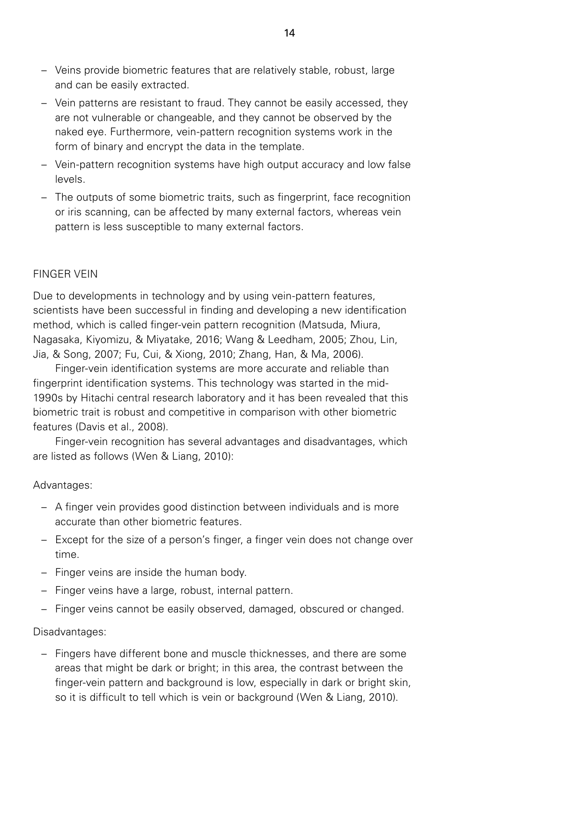- Veins provide biometric features that are relatively stable, robust, large and can be easily extracted.
- Vein patterns are resistant to fraud. They cannot be easily accessed, they are not vulnerable or changeable, and they cannot be observed by the naked eye. Furthermore, vein-pattern recognition systems work in the form of binary and encrypt the data in the template.
- Vein-pattern recognition systems have high output accuracy and low false levels.
- The outputs of some biometric traits, such as fingerprint, face recognition or iris scanning, can be affected by many external factors, whereas vein pattern is less susceptible to many external factors.

# FINGER VEIN

Due to developments in technology and by using vein-pattern features, scientists have been successful in finding and developing a new identification method, which is called finger-vein pattern recognition (Matsuda, Miura, Nagasaka, Kiyomizu, & Miyatake, 2016; Wang & Leedham, 2005; Zhou, Lin, Jia, & Song, 2007; Fu, Cui, & Xiong, 2010; Zhang, Han, & Ma, 2006).

Finger-vein identification systems are more accurate and reliable than fingerprint identification systems. This technology was started in the mid-1990s by Hitachi central research laboratory and it has been revealed that this biometric trait is robust and competitive in comparison with other biometric features (Davis et al., 2008).

Finger-vein recognition has several advantages and disadvantages, which are listed as follows (Wen & Liang, 2010):

# Advantages:

- A finger vein provides good distinction between individuals and is more accurate than other biometric features.
- Except for the size of a person's finger, a finger vein does not change over time.
- Finger veins are inside the human body.
- Finger veins have a large, robust, internal pattern.
- Finger veins cannot be easily observed, damaged, obscured or changed.

# Disadvantages:

– Fingers have different bone and muscle thicknesses, and there are some areas that might be dark or bright; in this area, the contrast between the finger-vein pattern and background is low, especially in dark or bright skin, so it is difficult to tell which is vein or background (Wen & Liang, 2010).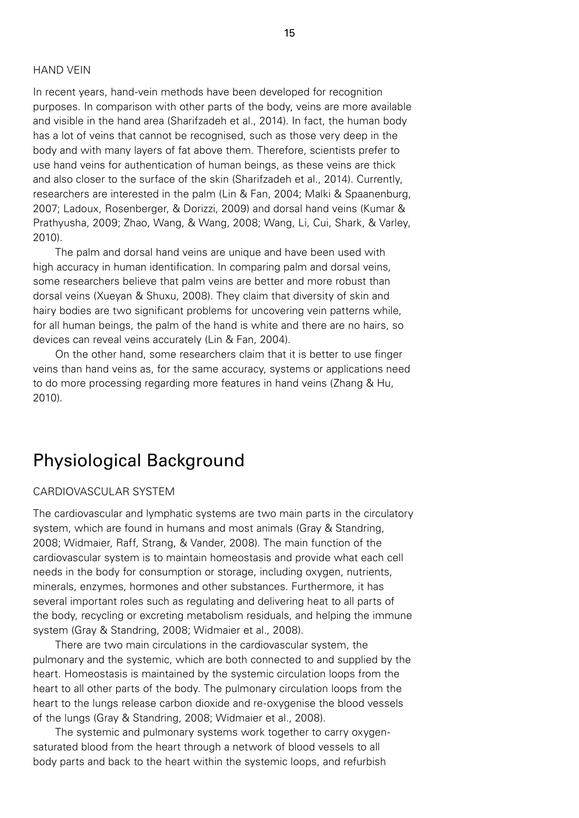# HAND VEIN

In recent years, hand-vein methods have been developed for recognition purposes. In comparison with other parts of the body, veins are more available and visible in the hand area (Sharifzadeh et al., 2014). In fact, the human body has a lot of veins that cannot be recognised, such as those very deep in the body and with many layers of fat above them. Therefore, scientists prefer to use hand veins for authentication of human beings, as these veins are thick and also closer to the surface of the skin (Sharifzadeh et al., 2014). Currently, researchers are interested in the palm (Lin & Fan, 2004; Malki & Spaanenburg, 2007; Ladoux, Rosenberger, & Dorizzi, 2009) and dorsal hand veins (Kumar & Prathyusha, 2009; Zhao, Wang, & Wang, 2008; Wang, Li, Cui, Shark, & Varley, 2010).

The palm and dorsal hand veins are unique and have been used with high accuracy in human identification. In comparing palm and dorsal veins, some researchers believe that palm veins are better and more robust than dorsal veins (Xueyan & Shuxu, 2008). They claim that diversity of skin and hairy bodies are two significant problems for uncovering vein patterns while, for all human beings, the palm of the hand is white and there are no hairs, so devices can reveal veins accurately (Lin & Fan, 2004).

On the other hand, some researchers claim that it is better to use finger veins than hand veins as, for the same accuracy, systems or applications need to do more processing regarding more features in hand veins (Zhang & Hu, 2010).

# Physiological Background

#### CARDIOVASCULAR SYSTEM

The cardiovascular and lymphatic systems are two main parts in the circulatory system, which are found in humans and most animals (Gray & Standring, 2008; Widmaier, Raff, Strang, & Vander, 2008). The main function of the cardiovascular system is to maintain homeostasis and provide what each cell needs in the body for consumption or storage, including oxygen, nutrients, minerals, enzymes, hormones and other substances. Furthermore, it has several important roles such as regulating and delivering heat to all parts of the body, recycling or excreting metabolism residuals, and helping the immune system (Gray & Standring, 2008; Widmaier et al., 2008).

There are two main circulations in the cardiovascular system, the pulmonary and the systemic, which are both connected to and supplied by the heart. Homeostasis is maintained by the systemic circulation loops from the heart to all other parts of the body. The pulmonary circulation loops from the heart to the lungs release carbon dioxide and re-oxygenise the blood vessels of the lungs (Gray & Standring, 2008; Widmaier et al., 2008).

The systemic and pulmonary systems work together to carry oxygensaturated blood from the heart through a network of blood vessels to all body parts and back to the heart within the systemic loops, and refurbish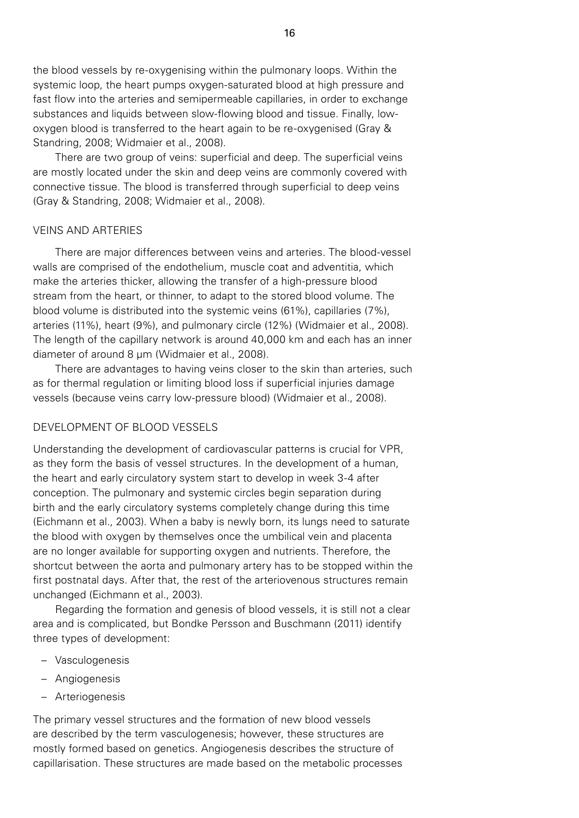the blood vessels by re-oxygenising within the pulmonary loops. Within the systemic loop, the heart pumps oxygen-saturated blood at high pressure and fast flow into the arteries and semipermeable capillaries, in order to exchange substances and liquids between slow-flowing blood and tissue. Finally, lowoxygen blood is transferred to the heart again to be re-oxygenised (Gray & Standring, 2008; Widmaier et al., 2008).

There are two group of veins: superficial and deep. The superficial veins are mostly located under the skin and deep veins are commonly covered with connective tissue. The blood is transferred through superficial to deep veins (Gray & Standring, 2008; Widmaier et al., 2008).

#### VEINS AND ARTERIES

There are major differences between veins and arteries. The blood-vessel walls are comprised of the endothelium, muscle coat and adventitia, which make the arteries thicker, allowing the transfer of a high-pressure blood stream from the heart, or thinner, to adapt to the stored blood volume. The blood volume is distributed into the systemic veins (61%), capillaries (7%), arteries (11%), heart (9%), and pulmonary circle (12%) (Widmaier et al., 2008). The length of the capillary network is around 40,000 km and each has an inner diameter of around 8 µm (Widmaier et al., 2008).

There are advantages to having veins closer to the skin than arteries, such as for thermal regulation or limiting blood loss if superficial injuries damage vessels (because veins carry low-pressure blood) (Widmaier et al., 2008).

# DEVELOPMENT OF BLOOD VESSELS

Understanding the development of cardiovascular patterns is crucial for VPR, as they form the basis of vessel structures. In the development of a human, the heart and early circulatory system start to develop in week 3-4 after conception. The pulmonary and systemic circles begin separation during birth and the early circulatory systems completely change during this time (Eichmann et al., 2003). When a baby is newly born, its lungs need to saturate the blood with oxygen by themselves once the umbilical vein and placenta are no longer available for supporting oxygen and nutrients. Therefore, the shortcut between the aorta and pulmonary artery has to be stopped within the first postnatal days. After that, the rest of the arteriovenous structures remain unchanged (Eichmann et al., 2003).

Regarding the formation and genesis of blood vessels, it is still not a clear area and is complicated, but Bondke Persson and Buschmann (2011) identify three types of development:

- Vasculogenesis
- Angiogenesis
- Arteriogenesis

The primary vessel structures and the formation of new blood vessels are described by the term vasculogenesis; however, these structures are mostly formed based on genetics. Angiogenesis describes the structure of capillarisation. These structures are made based on the metabolic processes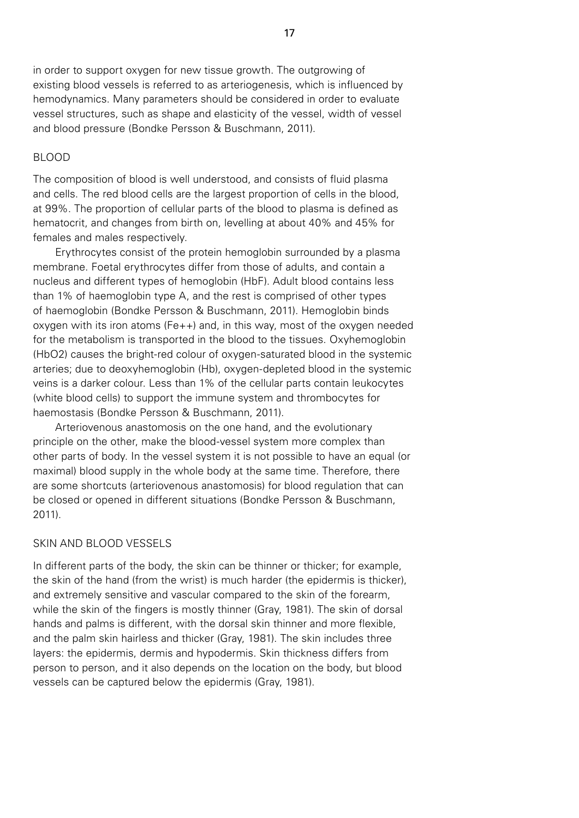in order to support oxygen for new tissue growth. The outgrowing of existing blood vessels is referred to as arteriogenesis, which is influenced by hemodynamics. Many parameters should be considered in order to evaluate vessel structures, such as shape and elasticity of the vessel, width of vessel and blood pressure (Bondke Persson & Buschmann, 2011).

#### BLOOD

The composition of blood is well understood, and consists of fluid plasma and cells. The red blood cells are the largest proportion of cells in the blood, at 99%. The proportion of cellular parts of the blood to plasma is defined as hematocrit, and changes from birth on, levelling at about 40% and 45% for females and males respectively.

Erythrocytes consist of the protein hemoglobin surrounded by a plasma membrane. Foetal erythrocytes differ from those of adults, and contain a nucleus and different types of hemoglobin (HbF). Adult blood contains less than 1% of haemoglobin type A, and the rest is comprised of other types of haemoglobin (Bondke Persson & Buschmann, 2011). Hemoglobin binds oxygen with its iron atoms (Fe++) and, in this way, most of the oxygen needed for the metabolism is transported in the blood to the tissues. Oxyhemoglobin (HbO2) causes the bright-red colour of oxygen-saturated blood in the systemic arteries; due to deoxyhemoglobin (Hb), oxygen-depleted blood in the systemic veins is a darker colour. Less than 1% of the cellular parts contain leukocytes (white blood cells) to support the immune system and thrombocytes for haemostasis (Bondke Persson & Buschmann, 2011).

Arteriovenous anastomosis on the one hand, and the evolutionary principle on the other, make the blood-vessel system more complex than other parts of body. In the vessel system it is not possible to have an equal (or maximal) blood supply in the whole body at the same time. Therefore, there are some shortcuts (arteriovenous anastomosis) for blood regulation that can be closed or opened in different situations (Bondke Persson & Buschmann, 2011).

#### SKIN AND BLOOD VESSELS

In different parts of the body, the skin can be thinner or thicker; for example, the skin of the hand (from the wrist) is much harder (the epidermis is thicker), and extremely sensitive and vascular compared to the skin of the forearm, while the skin of the fingers is mostly thinner (Gray, 1981). The skin of dorsal hands and palms is different, with the dorsal skin thinner and more flexible, and the palm skin hairless and thicker (Gray, 1981). The skin includes three layers: the epidermis, dermis and hypodermis. Skin thickness differs from person to person, and it also depends on the location on the body, but blood vessels can be captured below the epidermis (Gray, 1981).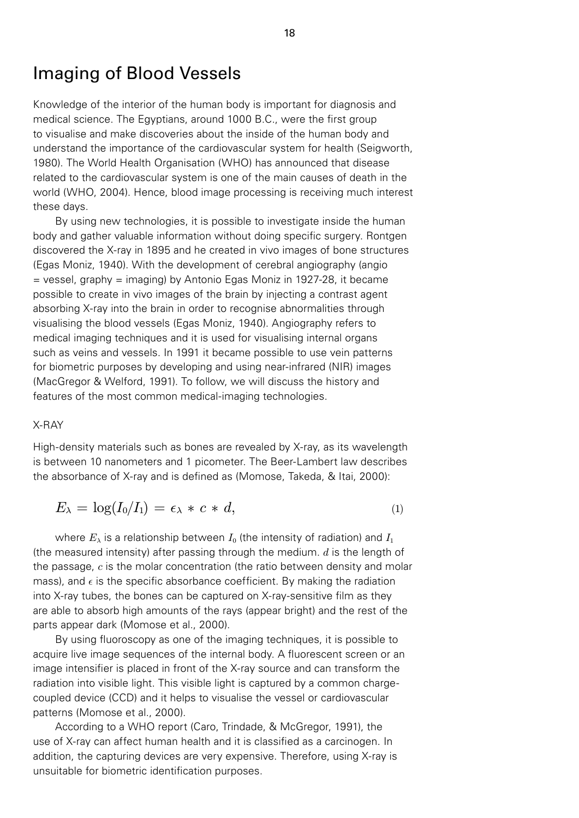# Imaging of Blood Vessels

Knowledge of the interior of the human body is important for diagnosis and medical science. The Egyptians, around 1000 B.C., were the first group to visualise and make discoveries about the inside of the human body and understand the importance of the cardiovascular system for health (Seigworth, 1980). The World Health Organisation (WHO) has announced that disease related to the cardiovascular system is one of the main causes of death in the world (WHO, 2004). Hence, blood image processing is receiving much interest these days.

By using new technologies, it is possible to investigate inside the human body and gather valuable information without doing specific surgery. Rontgen discovered the X-ray in 1895 and he created in vivo images of bone structures (Egas Moniz, 1940). With the development of cerebral angiography (angio = vessel, graphy = imaging) by Antonio Egas Moniz in 1927-28, it became possible to create in vivo images of the brain by injecting a contrast agent absorbing X-ray into the brain in order to recognise abnormalities through visualising the blood vessels (Egas Moniz, 1940). Angiography refers to medical imaging techniques and it is used for visualising internal organs such as veins and vessels. In 1991 it became possible to use vein patterns for biometric purposes by developing and using near-infrared (NIR) images (MacGregor & Welford, 1991). To follow, we will discuss the history and features of the most common medical-imaging technologies.

#### X-RAY

High-density materials such as bones are revealed by X-ray, as its wavelength is between 10 nanometers and 1 picometer. The Beer-Lambert law describes the absorbance of X-ray and is defined as (Momose, Takeda, & Itai, 2000):

$$
E_{\lambda} = \log(I_0/I_1) = \epsilon_{\lambda} * c * d,\tag{1}
$$

where  $E_{\lambda}$  is a relationship between  $I_0$  (the intensity of radiation) and  $I_1$ (the measured intensity) after passing through the medium.  $d$  is the length of the passage,  $c$  is the molar concentration (the ratio between density and molar mass), and  $\epsilon$  is the specific absorbance coefficient. By making the radiation into X-ray tubes, the bones can be captured on X-ray-sensitive film as they are able to absorb high amounts of the rays (appear bright) and the rest of the parts appear dark (Momose et al., 2000).

By using fluoroscopy as one of the imaging techniques, it is possible to acquire live image sequences of the internal body. A fluorescent screen or an image intensifier is placed in front of the X-ray source and can transform the radiation into visible light. This visible light is captured by a common chargecoupled device (CCD) and it helps to visualise the vessel or cardiovascular patterns (Momose et al., 2000).

According to a WHO report (Caro, Trindade, & McGregor, 1991), the use of X-ray can affect human health and it is classified as a carcinogen. In addition, the capturing devices are very expensive. Therefore, using X-ray is unsuitable for biometric identification purposes.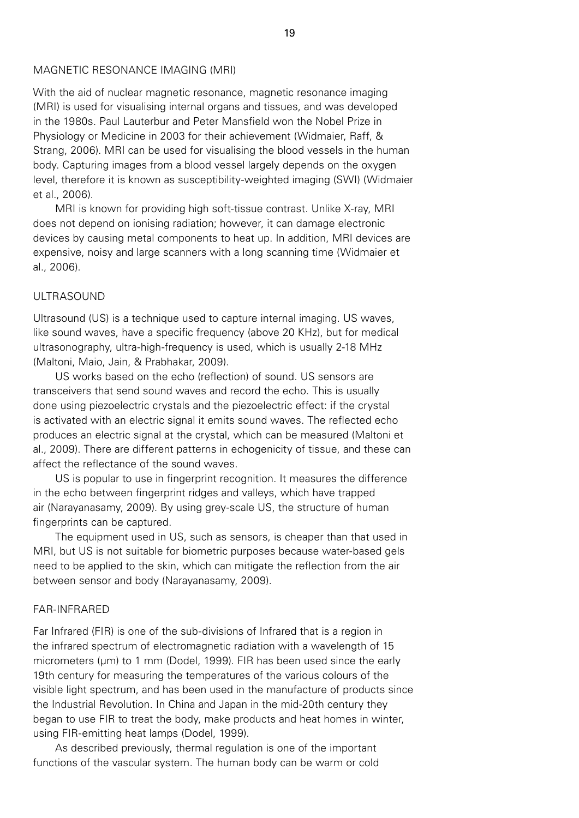#### MAGNETIC RESONANCE IMAGING (MRI)

With the aid of nuclear magnetic resonance, magnetic resonance imaging (MRI) is used for visualising internal organs and tissues, and was developed in the 1980s. Paul Lauterbur and Peter Mansfield won the Nobel Prize in Physiology or Medicine in 2003 for their achievement (Widmaier, Raff, & Strang, 2006). MRI can be used for visualising the blood vessels in the human body. Capturing images from a blood vessel largely depends on the oxygen level, therefore it is known as susceptibility-weighted imaging (SWI) (Widmaier et al., 2006).

MRI is known for providing high soft-tissue contrast. Unlike X-ray, MRI does not depend on ionising radiation; however, it can damage electronic devices by causing metal components to heat up. In addition, MRI devices are expensive, noisy and large scanners with a long scanning time (Widmaier et al., 2006).

# ULTRASOUND

Ultrasound (US) is a technique used to capture internal imaging. US waves, like sound waves, have a specific frequency (above 20 KHz), but for medical ultrasonography, ultra-high-frequency is used, which is usually 2-18 MHz (Maltoni, Maio, Jain, & Prabhakar, 2009).

US works based on the echo (reflection) of sound. US sensors are transceivers that send sound waves and record the echo. This is usually done using piezoelectric crystals and the piezoelectric effect: if the crystal is activated with an electric signal it emits sound waves. The reflected echo produces an electric signal at the crystal, which can be measured (Maltoni et al., 2009). There are different patterns in echogenicity of tissue, and these can affect the reflectance of the sound waves.

US is popular to use in fingerprint recognition. It measures the difference in the echo between fingerprint ridges and valleys, which have trapped air (Narayanasamy, 2009). By using grey-scale US, the structure of human fingerprints can be captured.

The equipment used in US, such as sensors, is cheaper than that used in MRI, but US is not suitable for biometric purposes because water-based gels need to be applied to the skin, which can mitigate the reflection from the air between sensor and body (Narayanasamy, 2009).

#### FAR-INFRARED

Far Infrared (FIR) is one of the sub-divisions of Infrared that is a region in the infrared spectrum of electromagnetic radiation with a wavelength of 15 micrometers (µm) to 1 mm (Dodel, 1999). FIR has been used since the early 19th century for measuring the temperatures of the various colours of the visible light spectrum, and has been used in the manufacture of products since the Industrial Revolution. In China and Japan in the mid-20th century they began to use FIR to treat the body, make products and heat homes in winter, using FIR-emitting heat lamps (Dodel, 1999).

As described previously, thermal regulation is one of the important functions of the vascular system. The human body can be warm or cold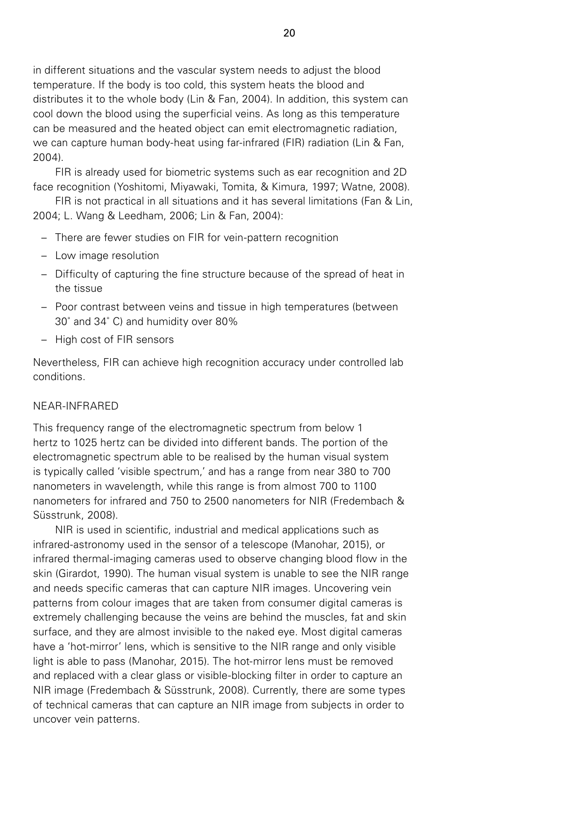in different situations and the vascular system needs to adjust the blood temperature. If the body is too cold, this system heats the blood and distributes it to the whole body (Lin & Fan, 2004). In addition, this system can cool down the blood using the superficial veins. As long as this temperature can be measured and the heated object can emit electromagnetic radiation, we can capture human body-heat using far-infrared (FIR) radiation (Lin & Fan, 2004).

FIR is already used for biometric systems such as ear recognition and 2D face recognition (Yoshitomi, Miyawaki, Tomita, & Kimura, 1997; Watne, 2008).

FIR is not practical in all situations and it has several limitations (Fan & Lin, 2004; L. Wang & Leedham, 2006; Lin & Fan, 2004):

- There are fewer studies on FIR for vein-pattern recognition
- Low image resolution
- Difficulty of capturing the fine structure because of the spread of heat in the tissue
- Poor contrast between veins and tissue in high temperatures (between 30˚ and 34˚ C) and humidity over 80%
- High cost of FIR sensors

Nevertheless, FIR can achieve high recognition accuracy under controlled lab conditions.

#### NEAR-INFRARED

This frequency range of the electromagnetic spectrum from below 1 hertz to 1025 hertz can be divided into different bands. The portion of the electromagnetic spectrum able to be realised by the human visual system is typically called 'visible spectrum,' and has a range from near 380 to 700 nanometers in wavelength, while this range is from almost 700 to 1100 nanometers for infrared and 750 to 2500 nanometers for NIR (Fredembach & Süsstrunk, 2008).

NIR is used in scientific, industrial and medical applications such as infrared-astronomy used in the sensor of a telescope (Manohar, 2015), or infrared thermal-imaging cameras used to observe changing blood flow in the skin (Girardot, 1990). The human visual system is unable to see the NIR range and needs specific cameras that can capture NIR images. Uncovering vein patterns from colour images that are taken from consumer digital cameras is extremely challenging because the veins are behind the muscles, fat and skin surface, and they are almost invisible to the naked eye. Most digital cameras have a 'hot-mirror' lens, which is sensitive to the NIR range and only visible light is able to pass (Manohar, 2015). The hot-mirror lens must be removed and replaced with a clear glass or visible-blocking filter in order to capture an NIR image (Fredembach & Süsstrunk, 2008). Currently, there are some types of technical cameras that can capture an NIR image from subjects in order to uncover vein patterns.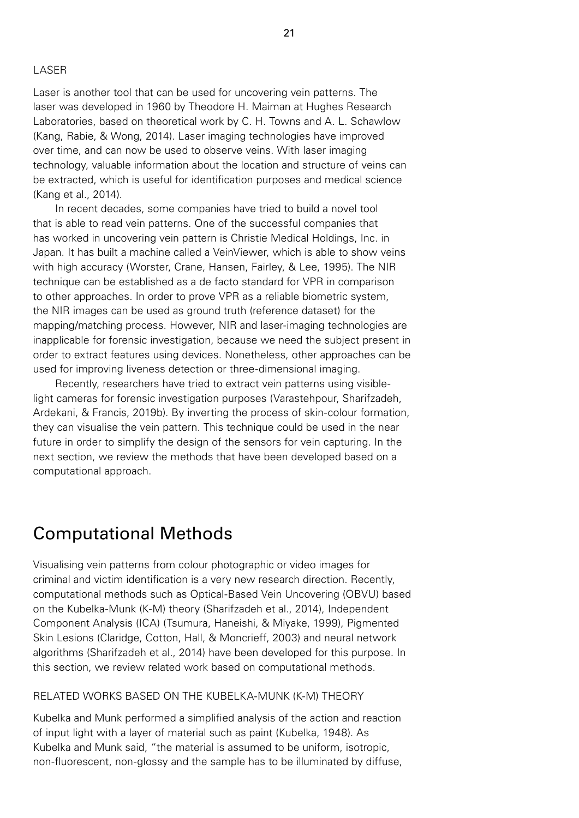# LASER

Laser is another tool that can be used for uncovering vein patterns. The laser was developed in 1960 by Theodore H. Maiman at Hughes Research Laboratories, based on theoretical work by C. H. Towns and A. L. Schawlow (Kang, Rabie, & Wong, 2014). Laser imaging technologies have improved over time, and can now be used to observe veins. With laser imaging technology, valuable information about the location and structure of veins can be extracted, which is useful for identification purposes and medical science (Kang et al., 2014).

In recent decades, some companies have tried to build a novel tool that is able to read vein patterns. One of the successful companies that has worked in uncovering vein pattern is Christie Medical Holdings, Inc. in Japan. It has built a machine called a VeinViewer, which is able to show veins with high accuracy (Worster, Crane, Hansen, Fairley, & Lee, 1995). The NIR technique can be established as a de facto standard for VPR in comparison to other approaches. In order to prove VPR as a reliable biometric system, the NIR images can be used as ground truth (reference dataset) for the mapping/matching process. However, NIR and laser-imaging technologies are inapplicable for forensic investigation, because we need the subject present in order to extract features using devices. Nonetheless, other approaches can be used for improving liveness detection or three-dimensional imaging.

Recently, researchers have tried to extract vein patterns using visiblelight cameras for forensic investigation purposes (Varastehpour, Sharifzadeh, Ardekani, & Francis, 2019b). By inverting the process of skin-colour formation, they can visualise the vein pattern. This technique could be used in the near future in order to simplify the design of the sensors for vein capturing. In the next section, we review the methods that have been developed based on a computational approach.

# Computational Methods

Visualising vein patterns from colour photographic or video images for criminal and victim identification is a very new research direction. Recently, computational methods such as Optical-Based Vein Uncovering (OBVU) based on the Kubelka-Munk (K-M) theory (Sharifzadeh et al., 2014), Independent Component Analysis (ICA) (Tsumura, Haneishi, & Miyake, 1999), Pigmented Skin Lesions (Claridge, Cotton, Hall, & Moncrieff, 2003) and neural network algorithms (Sharifzadeh et al., 2014) have been developed for this purpose. In this section, we review related work based on computational methods.

#### RELATED WORKS BASED ON THE KUBELKA-MUNK (K-M) THEORY

Kubelka and Munk performed a simplified analysis of the action and reaction of input light with a layer of material such as paint (Kubelka, 1948). As Kubelka and Munk said, "the material is assumed to be uniform, isotropic, non-fluorescent, non-glossy and the sample has to be illuminated by diffuse,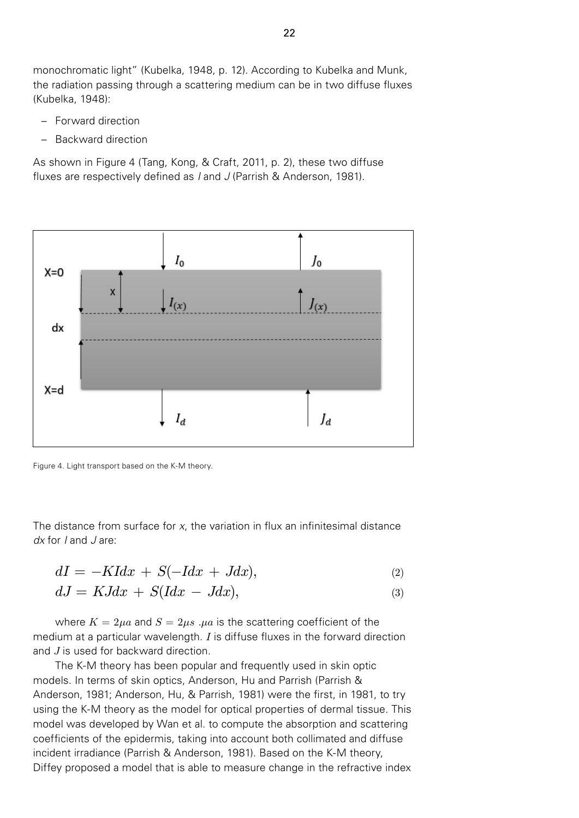monochromatic light" (Kubelka, 1948, p. 12). According to Kubelka and Munk, the radiation passing through a scattering medium can be in two diffuse fluxes (Kubelka, 1948):

- Forward direction
- Backward direction

As shown in Figure 4 (Tang, Kong, & Craft, 2011, p. 2), these two diffuse fluxes are respectively defined as *I* and *J* (Parrish & Anderson, 1981).



Figure 4. Light transport based on the K-M theory.

The distance from surface for *x*, the variation in flux an infinitesimal distance *dx* for *I* and *J* are:

$$
dI = -KIdx + S(-Idx + Jdx), \tag{2}
$$

$$
dJ = KJdx + S(Idx - Jdx), \t\t(3)
$$

where  $K = 2\mu a$  and  $S = 2\mu s$ .  $\mu a$  is the scattering coefficient of the medium at a particular wavelength.  $I$  is diffuse fluxes in the forward direction and J is used for backward direction.

The K-M theory has been popular and frequently used in skin optic models. In terms of skin optics, Anderson, Hu and Parrish (Parrish & Anderson, 1981; Anderson, Hu, & Parrish, 1981) were the first, in 1981, to try using the K-M theory as the model for optical properties of dermal tissue. This model was developed by Wan et al. to compute the absorption and scattering coefficients of the epidermis, taking into account both collimated and diffuse incident irradiance (Parrish & Anderson, 1981). Based on the K-M theory, Diffey proposed a model that is able to measure change in the refractive index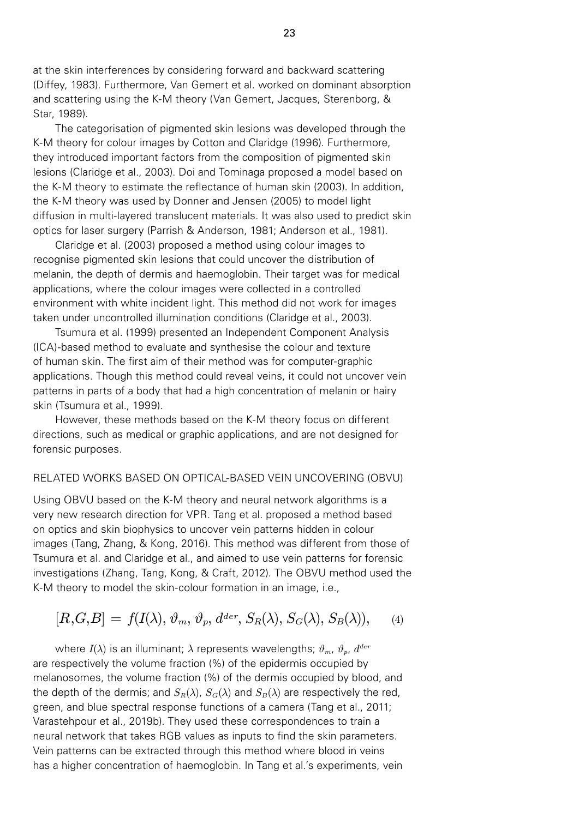at the skin interferences by considering forward and backward scattering (Diffey, 1983). Furthermore, Van Gemert et al. worked on dominant absorption and scattering using the K-M theory (Van Gemert, Jacques, Sterenborg, & Star, 1989).

The categorisation of pigmented skin lesions was developed through the K-M theory for colour images by Cotton and Claridge (1996). Furthermore, they introduced important factors from the composition of pigmented skin lesions (Claridge et al., 2003). Doi and Tominaga proposed a model based on the K-M theory to estimate the reflectance of human skin (2003). In addition, the K-M theory was used by Donner and Jensen (2005) to model light diffusion in multi-layered translucent materials. It was also used to predict skin optics for laser surgery (Parrish & Anderson, 1981; Anderson et al., 1981).

Claridge et al. (2003) proposed a method using colour images to recognise pigmented skin lesions that could uncover the distribution of melanin, the depth of dermis and haemoglobin. Their target was for medical applications, where the colour images were collected in a controlled environment with white incident light. This method did not work for images taken under uncontrolled illumination conditions (Claridge et al., 2003).

Tsumura et al. (1999) presented an Independent Component Analysis (ICA)-based method to evaluate and synthesise the colour and texture of human skin. The first aim of their method was for computer-graphic applications. Though this method could reveal veins, it could not uncover vein patterns in parts of a body that had a high concentration of melanin or hairy skin (Tsumura et al., 1999).

However, these methods based on the K-M theory focus on different directions, such as medical or graphic applications, and are not designed for forensic purposes.

#### RELATED WORKS BASED ON OPTICAL-BASED VEIN UNCOVERING (OBVU)

Using OBVU based on the K-M theory and neural network algorithms is a very new research direction for VPR. Tang et al. proposed a method based on optics and skin biophysics to uncover vein patterns hidden in colour images (Tang, Zhang, & Kong, 2016). This method was different from those of Tsumura et al. and Claridge et al., and aimed to use vein patterns for forensic investigations (Zhang, Tang, Kong, & Craft, 2012). The OBVU method used the K-M theory to model the skin-colour formation in an image, i.e.,

$$
[R,G,B] = f(I(\lambda), \vartheta_m, \vartheta_p, d^{der}, S_R(\lambda), S_G(\lambda), S_B(\lambda)), \quad (4)
$$

where  $I(\lambda)$  is an illuminant;  $\lambda$  represents wavelengths;  $\vartheta_m$ ,  $\vartheta_p$ ,  $d^{der}$ are respectively the volume fraction (%) of the epidermis occupied by melanosomes, the volume fraction (%) of the dermis occupied by blood, and the depth of the dermis; and  $S_R(\lambda)$ ,  $S_G(\lambda)$  and  $S_B(\lambda)$  are respectively the red, green, and blue spectral response functions of a camera (Tang et al., 2011; Varastehpour et al., 2019b). They used these correspondences to train a neural network that takes RGB values as inputs to find the skin parameters. Vein patterns can be extracted through this method where blood in veins has a higher concentration of haemoglobin. In Tang et al.'s experiments, vein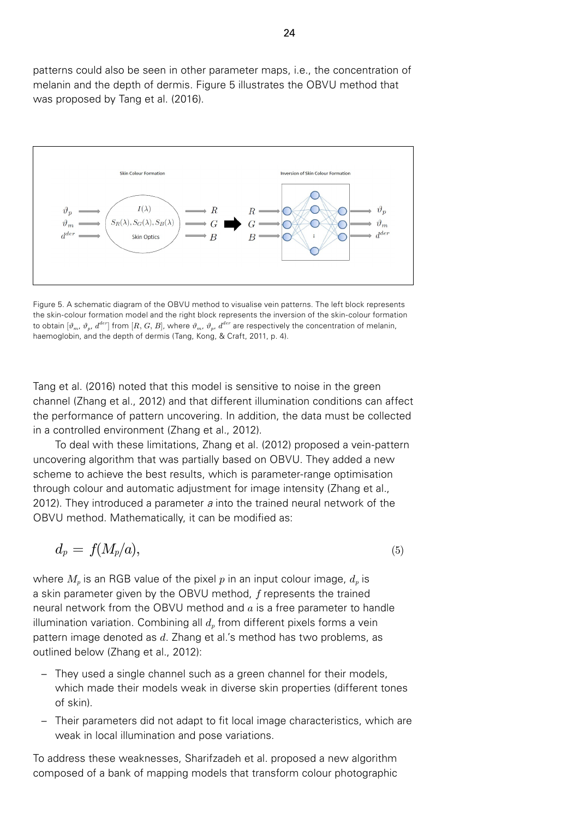patterns could also be seen in other parameter maps, i.e., the concentration of melanin and the depth of dermis. Figure 5 illustrates the OBVU method that was proposed by Tang et al. (2016).



Figure 5. A schematic diagram of the OBVU method to visualise vein patterns. The left block represents the skin-colour formation model and the right block represents the inversion of the skin-colour formation to obtain  $[\vartheta_m, \vartheta_n, d^{der}]$  from  $[R, G, B]$ , where  $\vartheta_m, \vartheta_n, d^{der}$  are respectively the concentration of melanin, haemoglobin, and the depth of dermis (Tang, Kong, & Craft, 2011, p. 4).

Tang et al. (2016) noted that this model is sensitive to noise in the green channel (Zhang et al., 2012) and that different illumination conditions can affect the performance of pattern uncovering. In addition, the data must be collected in a controlled environment (Zhang et al., 2012).

To deal with these limitations, Zhang et al. (2012) proposed a vein-pattern uncovering algorithm that was partially based on OBVU. They added a new scheme to achieve the best results, which is parameter-range optimisation through colour and automatic adjustment for image intensity (Zhang et al., 2012). They introduced a parameter *a* into the trained neural network of the OBVU method. Mathematically, it can be modified as:

$$
d_p = f(M_p/a), \tag{5}
$$

where  $M_p$  is an RGB value of the pixel p in an input colour image,  $d_p$  is a skin parameter given by the OBVU method, f represents the trained neural network from the OBVU method and  $a$  is a free parameter to handle illumination variation. Combining all  $d<sub>p</sub>$  from different pixels forms a vein pattern image denoted as  $d$ . Zhang et al.'s method has two problems, as outlined below (Zhang et al., 2012):

- They used a single channel such as a green channel for their models, which made their models weak in diverse skin properties (different tones of skin).
- Their parameters did not adapt to fit local image characteristics, which are weak in local illumination and pose variations.

To address these weaknesses, Sharifzadeh et al. proposed a new algorithm composed of a bank of mapping models that transform colour photographic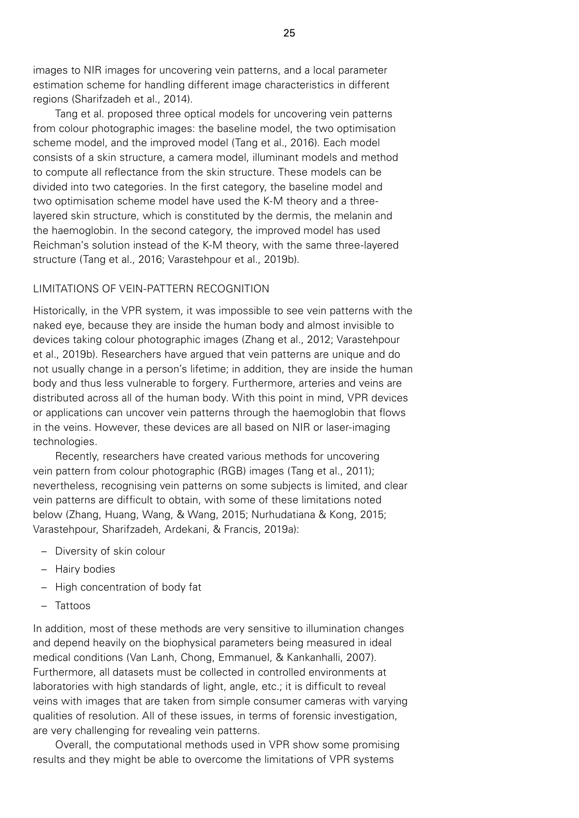images to NIR images for uncovering vein patterns, and a local parameter estimation scheme for handling different image characteristics in different regions (Sharifzadeh et al., 2014).

Tang et al. proposed three optical models for uncovering vein patterns from colour photographic images: the baseline model, the two optimisation scheme model, and the improved model (Tang et al., 2016). Each model consists of a skin structure, a camera model, illuminant models and method to compute all reflectance from the skin structure. These models can be divided into two categories. In the first category, the baseline model and two optimisation scheme model have used the K-M theory and a threelayered skin structure, which is constituted by the dermis, the melanin and the haemoglobin. In the second category, the improved model has used Reichman's solution instead of the K-M theory, with the same three-layered structure (Tang et al., 2016; Varastehpour et al., 2019b).

# LIMITATIONS OF VEIN-PATTERN RECOGNITION

Historically, in the VPR system, it was impossible to see vein patterns with the naked eye, because they are inside the human body and almost invisible to devices taking colour photographic images (Zhang et al., 2012; Varastehpour et al., 2019b). Researchers have argued that vein patterns are unique and do not usually change in a person's lifetime; in addition, they are inside the human body and thus less vulnerable to forgery. Furthermore, arteries and veins are distributed across all of the human body. With this point in mind, VPR devices or applications can uncover vein patterns through the haemoglobin that flows in the veins. However, these devices are all based on NIR or laser-imaging technologies.

Recently, researchers have created various methods for uncovering vein pattern from colour photographic (RGB) images (Tang et al., 2011); nevertheless, recognising vein patterns on some subjects is limited, and clear vein patterns are difficult to obtain, with some of these limitations noted below (Zhang, Huang, Wang, & Wang, 2015; Nurhudatiana & Kong, 2015; Varastehpour, Sharifzadeh, Ardekani, & Francis, 2019a):

- Diversity of skin colour
- Hairy bodies
- High concentration of body fat
- Tattoos

In addition, most of these methods are very sensitive to illumination changes and depend heavily on the biophysical parameters being measured in ideal medical conditions (Van Lanh, Chong, Emmanuel, & Kankanhalli, 2007). Furthermore, all datasets must be collected in controlled environments at laboratories with high standards of light, angle, etc.; it is difficult to reveal veins with images that are taken from simple consumer cameras with varying qualities of resolution. All of these issues, in terms of forensic investigation, are very challenging for revealing vein patterns.

Overall, the computational methods used in VPR show some promising results and they might be able to overcome the limitations of VPR systems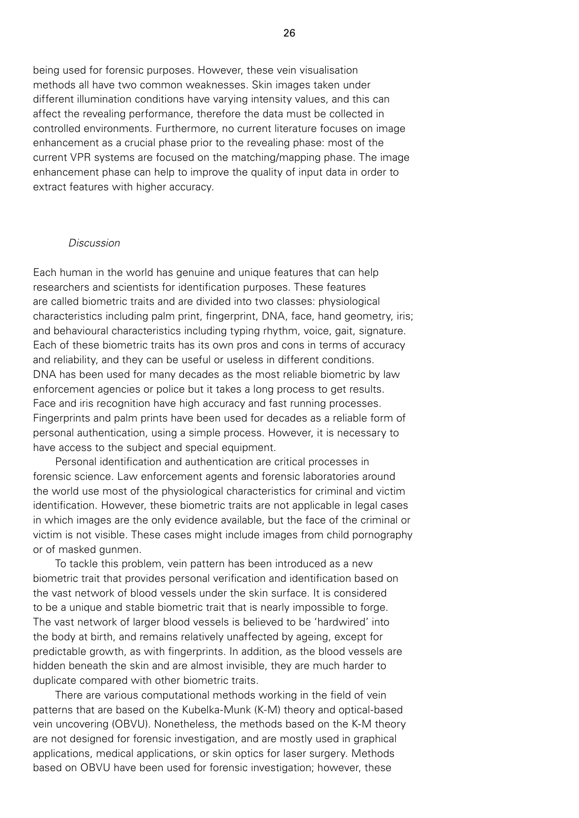being used for forensic purposes. However, these vein visualisation methods all have two common weaknesses. Skin images taken under different illumination conditions have varying intensity values, and this can affect the revealing performance, therefore the data must be collected in controlled environments. Furthermore, no current literature focuses on image enhancement as a crucial phase prior to the revealing phase: most of the current VPR systems are focused on the matching/mapping phase. The image enhancement phase can help to improve the quality of input data in order to extract features with higher accuracy.

#### *Discussion*

Each human in the world has genuine and unique features that can help researchers and scientists for identification purposes. These features are called biometric traits and are divided into two classes: physiological characteristics including palm print, fingerprint, DNA, face, hand geometry, iris; and behavioural characteristics including typing rhythm, voice, gait, signature. Each of these biometric traits has its own pros and cons in terms of accuracy and reliability, and they can be useful or useless in different conditions. DNA has been used for many decades as the most reliable biometric by law enforcement agencies or police but it takes a long process to get results. Face and iris recognition have high accuracy and fast running processes. Fingerprints and palm prints have been used for decades as a reliable form of personal authentication, using a simple process. However, it is necessary to have access to the subject and special equipment.

Personal identification and authentication are critical processes in forensic science. Law enforcement agents and forensic laboratories around the world use most of the physiological characteristics for criminal and victim identification. However, these biometric traits are not applicable in legal cases in which images are the only evidence available, but the face of the criminal or victim is not visible. These cases might include images from child pornography or of masked gunmen.

To tackle this problem, vein pattern has been introduced as a new biometric trait that provides personal verification and identification based on the vast network of blood vessels under the skin surface. It is considered to be a unique and stable biometric trait that is nearly impossible to forge. The vast network of larger blood vessels is believed to be 'hardwired' into the body at birth, and remains relatively unaffected by ageing, except for predictable growth, as with fingerprints. In addition, as the blood vessels are hidden beneath the skin and are almost invisible, they are much harder to duplicate compared with other biometric traits.

There are various computational methods working in the field of vein patterns that are based on the Kubelka-Munk (K-M) theory and optical-based vein uncovering (OBVU). Nonetheless, the methods based on the K-M theory are not designed for forensic investigation, and are mostly used in graphical applications, medical applications, or skin optics for laser surgery. Methods based on OBVU have been used for forensic investigation; however, these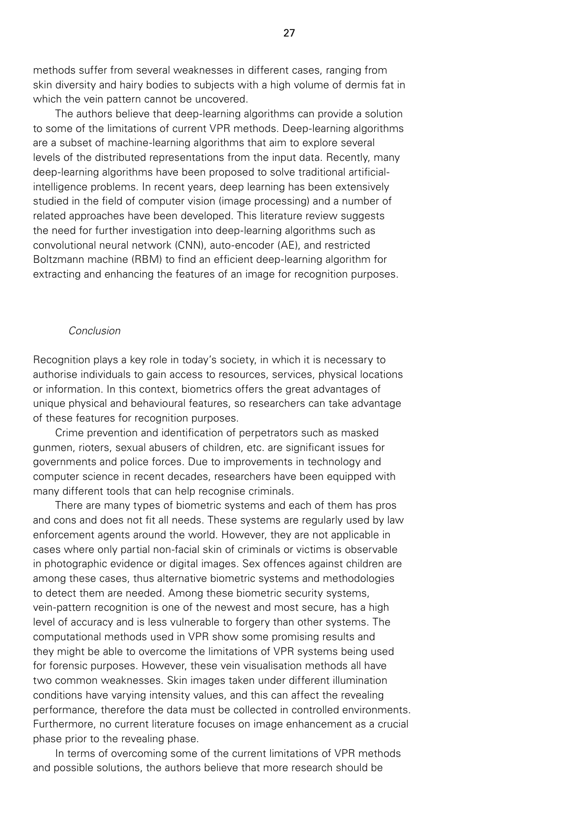methods suffer from several weaknesses in different cases, ranging from skin diversity and hairy bodies to subjects with a high volume of dermis fat in which the vein pattern cannot be uncovered.

The authors believe that deep-learning algorithms can provide a solution to some of the limitations of current VPR methods. Deep-learning algorithms are a subset of machine-learning algorithms that aim to explore several levels of the distributed representations from the input data. Recently, many deep-learning algorithms have been proposed to solve traditional artificialintelligence problems. In recent years, deep learning has been extensively studied in the field of computer vision (image processing) and a number of related approaches have been developed. This literature review suggests the need for further investigation into deep-learning algorithms such as convolutional neural network (CNN), auto-encoder (AE), and restricted Boltzmann machine (RBM) to find an efficient deep-learning algorithm for extracting and enhancing the features of an image for recognition purposes.

#### *Conclusion*

Recognition plays a key role in today's society, in which it is necessary to authorise individuals to gain access to resources, services, physical locations or information. In this context, biometrics offers the great advantages of unique physical and behavioural features, so researchers can take advantage of these features for recognition purposes.

Crime prevention and identification of perpetrators such as masked gunmen, rioters, sexual abusers of children, etc. are significant issues for governments and police forces. Due to improvements in technology and computer science in recent decades, researchers have been equipped with many different tools that can help recognise criminals.

There are many types of biometric systems and each of them has pros and cons and does not fit all needs. These systems are regularly used by law enforcement agents around the world. However, they are not applicable in cases where only partial non-facial skin of criminals or victims is observable in photographic evidence or digital images. Sex offences against children are among these cases, thus alternative biometric systems and methodologies to detect them are needed. Among these biometric security systems, vein-pattern recognition is one of the newest and most secure, has a high level of accuracy and is less vulnerable to forgery than other systems. The computational methods used in VPR show some promising results and they might be able to overcome the limitations of VPR systems being used for forensic purposes. However, these vein visualisation methods all have two common weaknesses. Skin images taken under different illumination conditions have varying intensity values, and this can affect the revealing performance, therefore the data must be collected in controlled environments. Furthermore, no current literature focuses on image enhancement as a crucial phase prior to the revealing phase.

In terms of overcoming some of the current limitations of VPR methods and possible solutions, the authors believe that more research should be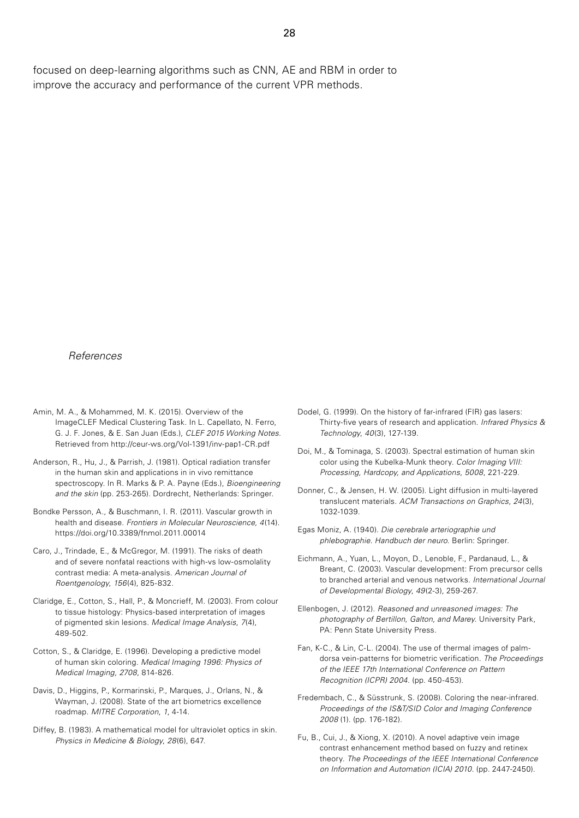focused on deep-learning algorithms such as CNN, AE and RBM in order to improve the accuracy and performance of the current VPR methods.

#### *References*

- Amin, M. A., & Mohammed, M. K. (2015). Overview of the ImageCLEF Medical Clustering Task. In L. Capellato, N. Ferro, G. J. F. Jones, & E. San Juan (Eds.), *CLEF 2015 Working Notes*. Retrieved from http://ceur-ws.org/Vol-1391/inv-pap1-CR.pdf
- Anderson, R., Hu, J., & Parrish, J. (1981). Optical radiation transfer in the human skin and applications in in vivo remittance spectroscopy. In R. Marks & P. A. Payne (Eds.), *Bioengineering and the skin* (pp. 253-265). Dordrecht, Netherlands: Springer.
- Bondke Persson, A., & Buschmann, I. R. (2011). Vascular growth in health and disease. *Frontiers in Molecular Neuroscience, 4*(14). https://doi.org/10.3389/fnmol.2011.00014
- Caro, J., Trindade, E., & McGregor, M. (1991). The risks of death and of severe nonfatal reactions with high-vs low-osmolality contrast media: A meta-analysis. *American Journal of Roentgenology*, *156*(4), 825-832.
- Claridge, E., Cotton, S., Hall, P., & Moncrieff, M. (2003). From colour to tissue histology: Physics-based interpretation of images of pigmented skin lesions. *Medical Image Analysis*, *7*(4), 489-502.
- Cotton, S., & Claridge, E. (1996). Developing a predictive model of human skin coloring. *Medical Imaging 1996: Physics of Medical Imaging*, *2708*, 814-826.
- Davis, D., Higgins, P., Kormarinski, P., Marques, J., Orlans, N., & Wayman, J. (2008). State of the art biometrics excellence roadmap. *MITRE Corporation*, *1*, 4-14.
- Diffey, B. (1983). A mathematical model for ultraviolet optics in skin. *Physics in Medicine & Biology*, *28*(6), 647.
- Dodel, G. (1999). On the history of far-infrared (FIR) gas lasers: Thirty-five years of research and application. *Infrared Physics & Technology*, *40*(3), 127-139.
- Doi, M., & Tominaga, S. (2003). Spectral estimation of human skin color using the Kubelka-Munk theory. *Color Imaging VIII: Processing, Hardcopy, and Applications*, *5008*, 221-229.
- Donner, C., & Jensen, H. W. (2005). Light diffusion in multi-layered translucent materials. *ACM Transactions on Graphics*, *24*(3), 1032-1039.
- Egas Moniz, A. (1940). *Die cerebrale arteriographie und phlebographie. Handbuch der neuro*. Berlin: Springer.
- Eichmann, A., Yuan, L., Moyon, D., Lenoble, F., Pardanaud, L., & Breant, C. (2003). Vascular development: From precursor cells to branched arterial and venous networks. *International Journal of Developmental Biology*, *49*(2-3), 259-267.
- Ellenbogen, J. (2012). *Reasoned and unreasoned images: The photography of Bertillon, Galton, and Marey*. University Park, PA: Penn State University Press.
- Fan, K-C., & Lin, C-L. (2004). The use of thermal images of palmdorsa vein-patterns for biometric verification. *The Proceedings of the IEEE 17th International Conference on Pattern Recognition (ICPR) 2004*. (pp. 450-453).
- Fredembach, C., & Süsstrunk, S. (2008). Coloring the near-infrared. *Proceedings of the IS&T/SID Color and Imaging Conference 2008* (1). (pp. 176-182).
- Fu, B., Cui, J., & Xiong, X. (2010). A novel adaptive vein image contrast enhancement method based on fuzzy and retinex theory. *The Proceedings of the IEEE International Conference on Information and Automation (ICIA) 2010*. (pp. 2447-2450).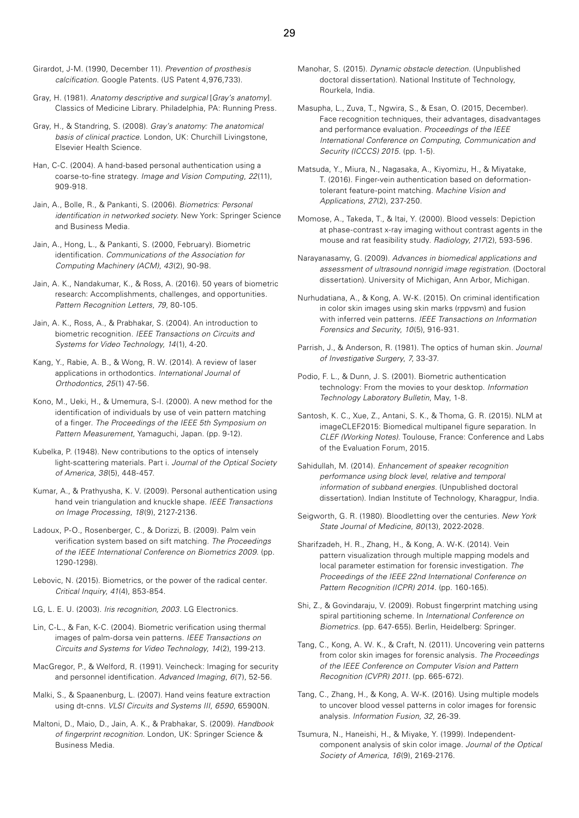- Girardot, J-M. (1990, December 11). *Prevention of prosthesis calcification*. Google Patents. (US Patent 4,976,733).
- Gray, H. (1981). *Anatomy descriptive and surgical* [*Gray's anatomy*]. Classics of Medicine Library. Philadelphia, PA: Running Press.
- Gray, H., & Standring, S. (2008). *Gray's anatomy: The anatomical basis of clinical practice*. London, UK: Churchill Livingstone, Elsevier Health Science.
- Han, C-C. (2004). A hand-based personal authentication using a coarse-to-fine strategy. *Image and Vision Computing*, *22*(11), 909-918.
- Jain, A., Bolle, R., & Pankanti, S. (2006). *Biometrics: Personal identification in networked society*. New York: Springer Science and Business Media.
- Jain, A., Hong, L., & Pankanti, S. (2000, February). Biometric identification. *Communications of the Association for Computing Machinery (ACM)*, *43*(2), 90-98.
- Jain, A. K., Nandakumar, K., & Ross, A. (2016). 50 years of biometric research: Accomplishments, challenges, and opportunities. *Pattern Recognition Letters*, *79*, 80-105.
- Jain, A. K., Ross, A., & Prabhakar, S. (2004). An introduction to biometric recognition. *IEEE Transactions on Circuits and Systems for Video Technology*, *14*(1), 4-20.
- Kang, Y., Rabie, A. B., & Wong, R. W. (2014). A review of laser applications in orthodontics. *International Journal of Orthodontics*, *25*(1) 47-56.
- Kono, M., Ueki, H., & Umemura, S-I. (2000). A new method for the identification of individuals by use of vein pattern matching of a finger. *The Proceedings of the IEEE 5th Symposium on Pattern Measurement*, Yamaguchi, Japan. (pp. 9-12).
- Kubelka, P. (1948). New contributions to the optics of intensely light-scattering materials. Part i. *Journal of the Optical Society of America*, *38*(5), 448-457.
- Kumar, A., & Prathyusha, K. V. (2009). Personal authentication using hand vein triangulation and knuckle shape. *IEEE Transactions on Image Processing*, *18*(9), 2127-2136.
- Ladoux, P-O., Rosenberger, C., & Dorizzi, B. (2009). Palm vein verification system based on sift matching. *The Proceedings of the IEEE International Conference on Biometrics 2009*. (pp. 1290-1298).
- Lebovic, N. (2015). Biometrics, or the power of the radical center. *Critical Inquiry*, *41*(4), 853-854.
- LG, L. E. U. (2003). *Iris recognition, 2003*. LG Electronics.
- Lin, C-L., & Fan, K-C. (2004). Biometric verification using thermal images of palm-dorsa vein patterns. *IEEE Transactions on Circuits and Systems for Video Technology*, *14*(2), 199-213.
- MacGregor, P., & Welford, R. (1991). Veincheck: Imaging for security and personnel identification. *Advanced Imaging*, *6*(7), 52-56.
- Malki, S., & Spaanenburg, L. (2007). Hand veins feature extraction using dt-cnns. *VLSI Circuits and Systems III*, *6590*, 65900N.
- Maltoni, D., Maio, D., Jain, A. K., & Prabhakar, S. (2009). *Handbook of fingerprint recognition*. London, UK: Springer Science & Business Media.
- Manohar, S. (2015). *Dynamic obstacle detection*. (Unpublished doctoral dissertation). National Institute of Technology, Rourkela, India.
- Masupha, L., Zuva, T., Ngwira, S., & Esan, O. (2015, December). Face recognition techniques, their advantages, disadvantages and performance evaluation. *Proceedings of the IEEE International Conference on Computing, Communication and Security (ICCCS) 2015*. (pp. 1-5).
- Matsuda, Y., Miura, N., Nagasaka, A., Kiyomizu, H., & Miyatake, T. (2016). Finger-vein authentication based on deformationtolerant feature-point matching. *Machine Vision and Applications*, *27*(2), 237-250.
- Momose, A., Takeda, T., & Itai, Y. (2000). Blood vessels: Depiction at phase-contrast x-ray imaging without contrast agents in the mouse and rat feasibility study. *Radiology*, *217*(2), 593-596.
- Narayanasamy, G. (2009). *Advances in biomedical applications and assessment of ultrasound nonrigid image registration*. (Doctoral dissertation). University of Michigan, Ann Arbor, Michigan.
- Nurhudatiana, A., & Kong, A. W-K. (2015). On criminal identification in color skin images using skin marks (rppvsm) and fusion with inferred vein patterns. *IEEE Transactions on Information Forensics and Security*, *10*(5), 916-931.
- Parrish, J., & Anderson, R. (1981). The optics of human skin. *Journal of Investigative Surgery*, *7*, 33-37.
- Podio, F. L., & Dunn, J. S. (2001). Biometric authentication technology: From the movies to your desktop. *Information Technology Laboratory Bulletin*, May, 1-8.
- Santosh, K. C., Xue, Z., Antani, S. K., & Thoma, G. R. (2015). NLM at imageCLEF2015: Biomedical multipanel figure separation. In *CLEF (Working Notes)*. Toulouse, France: Conference and Labs of the Evaluation Forum, 2015.
- Sahidullah, M. (2014). *Enhancement of speaker recognition performance using block level, relative and temporal information of subband energies*. (Unpublished doctoral dissertation). Indian Institute of Technology, Kharagpur, India.
- Seigworth, G. R. (1980). Bloodletting over the centuries. *New York State Journal of Medicine*, *80*(13), 2022-2028.
- Sharifzadeh, H. R., Zhang, H., & Kong, A. W-K. (2014). Vein pattern visualization through multiple mapping models and local parameter estimation for forensic investigation. *The Proceedings of the IEEE 22nd International Conference on Pattern Recognition (ICPR) 2014*. (pp. 160-165).
- Shi, Z., & Govindaraju, V. (2009). Robust fingerprint matching using spiral partitioning scheme. In *International Conference on Biometrics*. (pp. 647-655). Berlin, Heidelberg: Springer.
- Tang, C., Kong, A. W. K., & Craft, N. (2011). Uncovering vein patterns from color skin images for forensic analysis. *The Proceedings of the IEEE Conference on Computer Vision and Pattern Recognition (CVPR) 2011*. (pp. 665-672).
- Tang, C., Zhang, H., & Kong, A. W-K. (2016). Using multiple models to uncover blood vessel patterns in color images for forensic analysis. *Information Fusion*, *32*, 26-39.
- Tsumura, N., Haneishi, H., & Miyake, Y. (1999). Independentcomponent analysis of skin color image. *Journal of the Optical Society of America*, *16*(9), 2169-2176.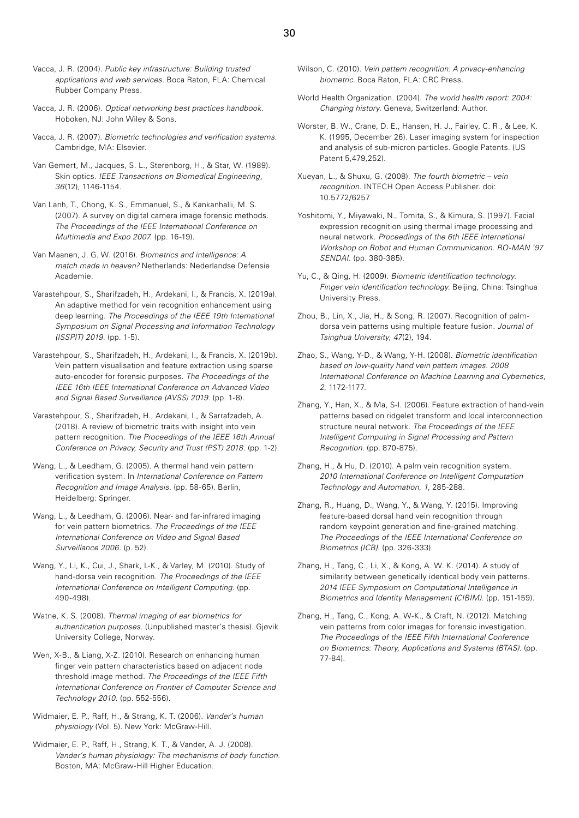- Vacca, J. R. (2004). *Public key infrastructure: Building trusted applications and web services*. Boca Raton, FLA: Chemical Rubber Company Press.
- Vacca, J. R. (2006). *Optical networking best practices handbook*. Hoboken, NJ: John Wiley & Sons.
- Vacca, J. R. (2007). *Biometric technologies and verification systems*. Cambridge, MA: Elsevier.
- Van Gemert, M., Jacques, S. L., Sterenborg, H., & Star, W. (1989). Skin optics. *IEEE Transactions on Biomedical Engineering*, *36*(12), 1146-1154.
- Van Lanh, T., Chong, K. S., Emmanuel, S., & Kankanhalli, M. S. (2007). A survey on digital camera image forensic methods. *The Proceedings of the IEEE International Conference on Multimedia and Expo 2007*. (pp. 16-19).
- Van Maanen, J. G. W. (2016). *Biometrics and intelligence: A match made in heaven?* Netherlands: Nederlandse Defensie Academie.
- Varastehpour, S., Sharifzadeh, H., Ardekani, I., & Francis, X. (2019a). An adaptive method for vein recognition enhancement using deep learning. *The Proceedings of the IEEE 19th International Symposium on Signal Processing and Information Technology (ISSPIT) 2019*. (pp. 1-5).
- Varastehpour, S., Sharifzadeh, H., Ardekani, I., & Francis, X. (2019b). Vein pattern visualisation and feature extraction using sparse auto-encoder for forensic purposes. *The Proceedings of the IEEE 16th IEEE International Conference on Advanced Video and Signal Based Surveillance (AVSS) 2019*. (pp. 1-8).
- Varastehpour, S., Sharifzadeh, H., Ardekani, I., & Sarrafzadeh, A. (2018). A review of biometric traits with insight into vein pattern recognition. *The Proceedings of the IEEE 16th Annual Conference on Privacy, Security and Trust (PST) 2018*. (pp. 1-2).
- Wang, L., & Leedham, G. (2005). A thermal hand vein pattern verification system. In *International Conference on Pattern Recognition and Image Analysis*. (pp. 58-65). Berlin, Heidelberg: Springer.
- Wang, L., & Leedham, G. (2006). Near- and far-infrared imaging for vein pattern biometrics. *The Proceedings of the IEEE International Conference on Video and Signal Based Surveillance 2006*. (p. 52).
- Wang, Y., Li, K., Cui, J., Shark, L-K., & Varley, M. (2010). Study of hand-dorsa vein recognition. *The Proceedings of the IEEE International Conference on Intelligent Computing*. (pp. 490-498).
- Watne, K. S. (2008). *Thermal imaging of ear biometrics for authentication purposes.* (Unpublished master's thesis). Gjøvik University College, Norway.
- Wen, X-B., & Liang, X-Z. (2010). Research on enhancing human finger vein pattern characteristics based on adjacent node threshold image method. *The Proceedings of the IEEE Fifth International Conference on Frontier of Computer Science and Technology 2010*. (pp. 552-556).
- Widmaier, E. P., Raff, H., & Strang, K. T. (2006). *Vander's human physiology* (Vol. 5). New York: McGraw-Hill.
- Widmaier, E. P., Raff, H., Strang, K. T., & Vander, A. J. (2008). *Vander's human physiology: The mechanisms of body function*. Boston, MA: McGraw-Hill Higher Education.
- Wilson, C. (2010). *Vein pattern recognition: A privacy-enhancing biometric.* Boca Raton, FLA: CRC Press.
- World Health Organization. (2004). *The world health report: 2004: Changing history*. Geneva, Switzerland: Author.
- Worster, B. W., Crane, D. E., Hansen, H. J., Fairley, C. R., & Lee, K. K. (1995, December 26). Laser imaging system for inspection and analysis of sub-micron particles. Google Patents. (US Patent 5,479,252).
- Xueyan, L., & Shuxu, G. (2008). *The fourth biometric vein recognition*. INTECH Open Access Publisher. doi: 10.5772/6257
- Yoshitomi, Y., Miyawaki, N., Tomita, S., & Kimura, S. (1997). Facial expression recognition using thermal image processing and neural network. *Proceedings of the 6th IEEE International Workshop on Robot and Human Communication. RO-MAN '97 SENDAI*. (pp. 380-385).
- Yu, C., & Qing, H. (2009). *Biometric identification technology: Finger vein identification technology*. Beijing, China: Tsinghua University Press.
- Zhou, B., Lin, X., Jia, H., & Song, R. (2007). Recognition of palmdorsa vein patterns using multiple feature fusion. *Journal of Tsinghua University*, *47*(2), 194.
- Zhao, S., Wang, Y-D., & Wang, Y-H. (2008). *Biometric identification based on low-quality hand vein pattern images. 2008 International Conference on Machine Learning and Cybernetics*, *2*, 1172-1177.
- Zhang, Y., Han, X., & Ma, S-l. (2006). Feature extraction of hand-vein patterns based on ridgelet transform and local interconnection structure neural network. *The Proceedings of the IEEE Intelligent Computing in Signal Processing and Pattern Recognition*. (pp. 870-875).
- Zhang, H., & Hu, D. (2010). A palm vein recognition system. *2010 International Conference on Intelligent Computation Technology and Automation*, *1*, 285-288.
- Zhang, R., Huang, D., Wang, Y., & Wang, Y. (2015). Improving feature-based dorsal hand vein recognition through random keypoint generation and fine-grained matching. *The Proceedings of the IEEE International Conference on Biometrics (ICB)*. (pp. 326-333).
- Zhang, H., Tang, C., Li, X., & Kong, A. W. K. (2014). A study of similarity between genetically identical body vein patterns. *2014 IEEE Symposium on Computational Intelligence in Biometrics and Identity Management (CIBIM)*. (pp. 151-159).
- Zhang, H., Tang, C., Kong, A. W-K., & Craft, N. (2012). Matching vein patterns from color images for forensic investigation. *The Proceedings of the IEEE Fifth International Conference on Biometrics: Theory, Applications and Systems (BTAS)*. (pp. 77-84).